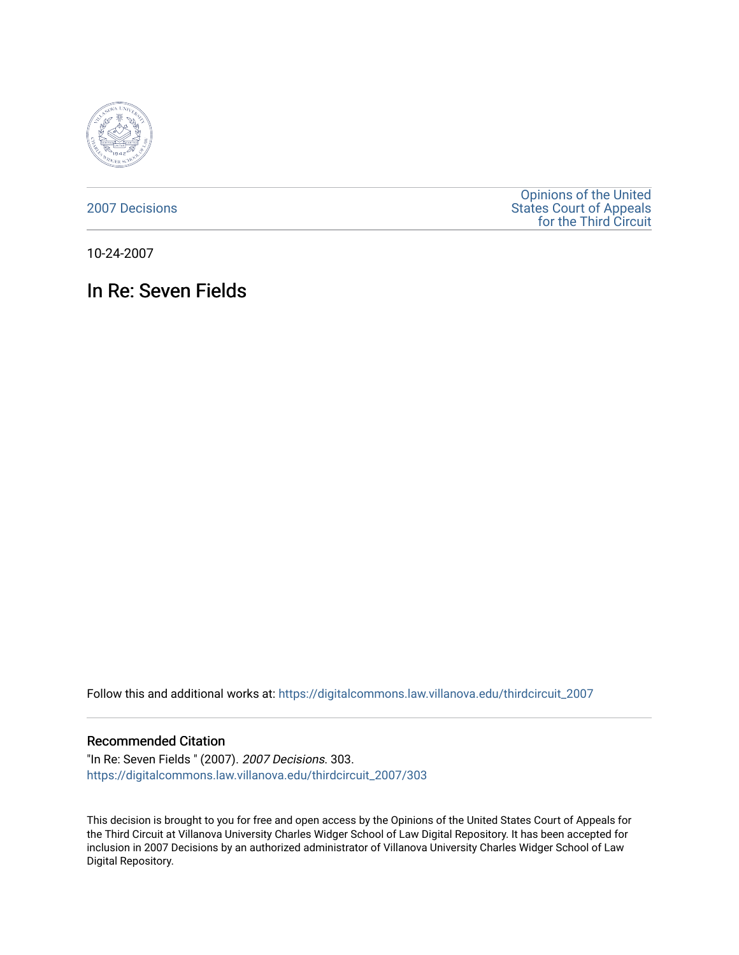

[2007 Decisions](https://digitalcommons.law.villanova.edu/thirdcircuit_2007)

[Opinions of the United](https://digitalcommons.law.villanova.edu/thirdcircuit)  [States Court of Appeals](https://digitalcommons.law.villanova.edu/thirdcircuit)  [for the Third Circuit](https://digitalcommons.law.villanova.edu/thirdcircuit) 

10-24-2007

# In Re: Seven Fields

Follow this and additional works at: [https://digitalcommons.law.villanova.edu/thirdcircuit\\_2007](https://digitalcommons.law.villanova.edu/thirdcircuit_2007?utm_source=digitalcommons.law.villanova.edu%2Fthirdcircuit_2007%2F303&utm_medium=PDF&utm_campaign=PDFCoverPages) 

### Recommended Citation

"In Re: Seven Fields " (2007). 2007 Decisions. 303. [https://digitalcommons.law.villanova.edu/thirdcircuit\\_2007/303](https://digitalcommons.law.villanova.edu/thirdcircuit_2007/303?utm_source=digitalcommons.law.villanova.edu%2Fthirdcircuit_2007%2F303&utm_medium=PDF&utm_campaign=PDFCoverPages)

This decision is brought to you for free and open access by the Opinions of the United States Court of Appeals for the Third Circuit at Villanova University Charles Widger School of Law Digital Repository. It has been accepted for inclusion in 2007 Decisions by an authorized administrator of Villanova University Charles Widger School of Law Digital Repository.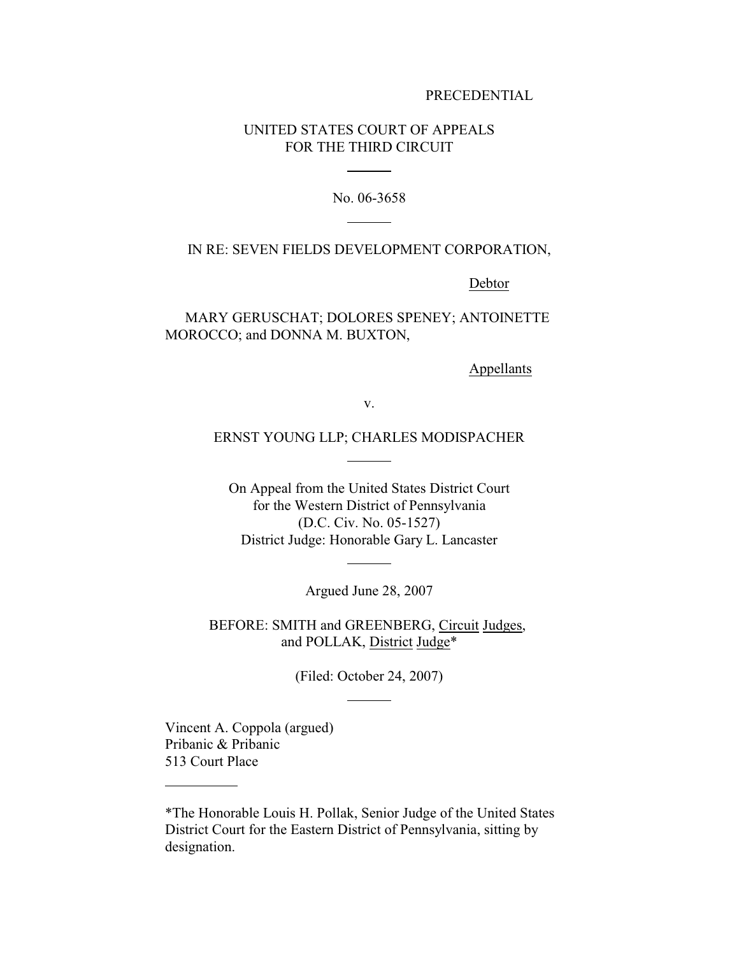#### PRECEDENTIAL

## UNITED STATES COURT OF APPEALS FOR THE THIRD CIRCUIT

 $\overline{a}$ 

 $\overline{a}$ 

No. 06-3658

#### IN RE: SEVEN FIELDS DEVELOPMENT CORPORATION,

Debtor

MARY GERUSCHAT; DOLORES SPENEY; ANTOINETTE MOROCCO; and DONNA M. BUXTON,

Appellants

v.

## ERNST YOUNG LLP; CHARLES MODISPACHER

 $\overline{a}$ 

 $\overline{a}$ 

On Appeal from the United States District Court for the Western District of Pennsylvania (D.C. Civ. No. 05-1527) District Judge: Honorable Gary L. Lancaster

Argued June 28, 2007

BEFORE: SMITH and GREENBERG, Circuit Judges, and POLLAK, District Judge\*

(Filed: October 24, 2007)

 $\overline{a}$ 

Vincent A. Coppola (argued) Pribanic & Pribanic 513 Court Place

 $\overline{a}$ 

<sup>\*</sup>The Honorable Louis H. Pollak, Senior Judge of the United States District Court for the Eastern District of Pennsylvania, sitting by designation.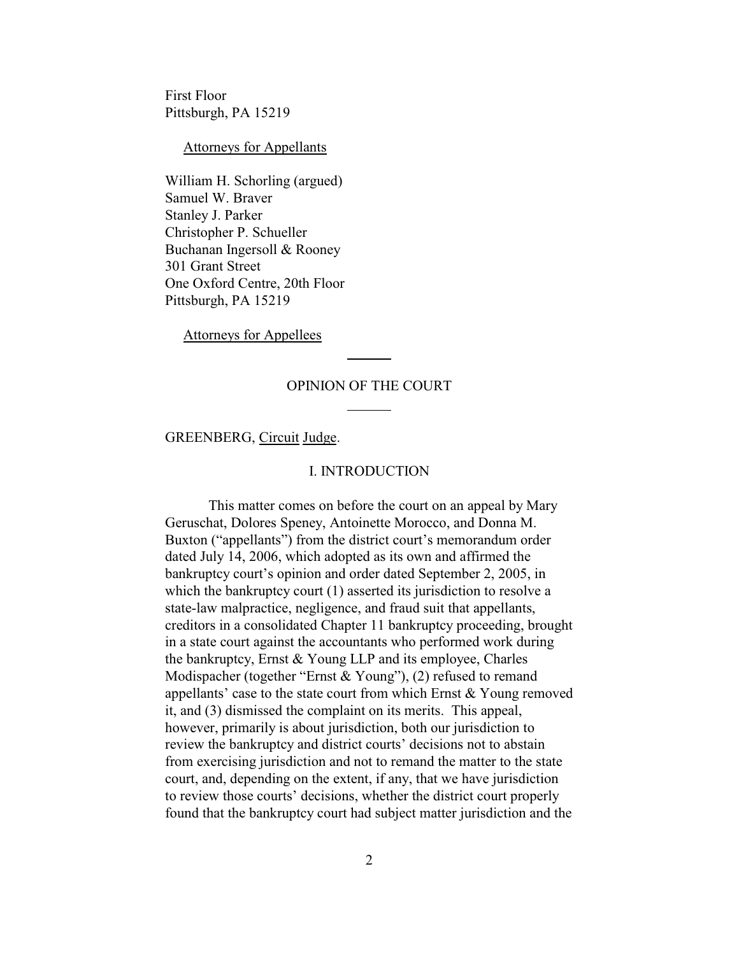First Floor Pittsburgh, PA 15219

Attorneys for Appellants

William H. Schorling (argued) Samuel W. Braver Stanley J. Parker Christopher P. Schueller Buchanan Ingersoll & Rooney 301 Grant Street One Oxford Centre, 20th Floor Pittsburgh, PA 15219

Attorneys for Appellees

#### OPINION OF THE COURT

 $\overline{a}$ 

 $\overline{a}$ 

GREENBERG, Circuit Judge.

#### I. INTRODUCTION

This matter comes on before the court on an appeal by Mary Geruschat, Dolores Speney, Antoinette Morocco, and Donna M. Buxton ("appellants") from the district court's memorandum order dated July 14, 2006, which adopted as its own and affirmed the bankruptcy court's opinion and order dated September 2, 2005, in which the bankruptcy court (1) asserted its jurisdiction to resolve a state-law malpractice, negligence, and fraud suit that appellants, creditors in a consolidated Chapter 11 bankruptcy proceeding, brought in a state court against the accountants who performed work during the bankruptcy, Ernst & Young LLP and its employee, Charles Modispacher (together "Ernst & Young"), (2) refused to remand appellants' case to the state court from which Ernst & Young removed it, and (3) dismissed the complaint on its merits. This appeal, however, primarily is about jurisdiction, both our jurisdiction to review the bankruptcy and district courts' decisions not to abstain from exercising jurisdiction and not to remand the matter to the state court, and, depending on the extent, if any, that we have jurisdiction to review those courts' decisions, whether the district court properly found that the bankruptcy court had subject matter jurisdiction and the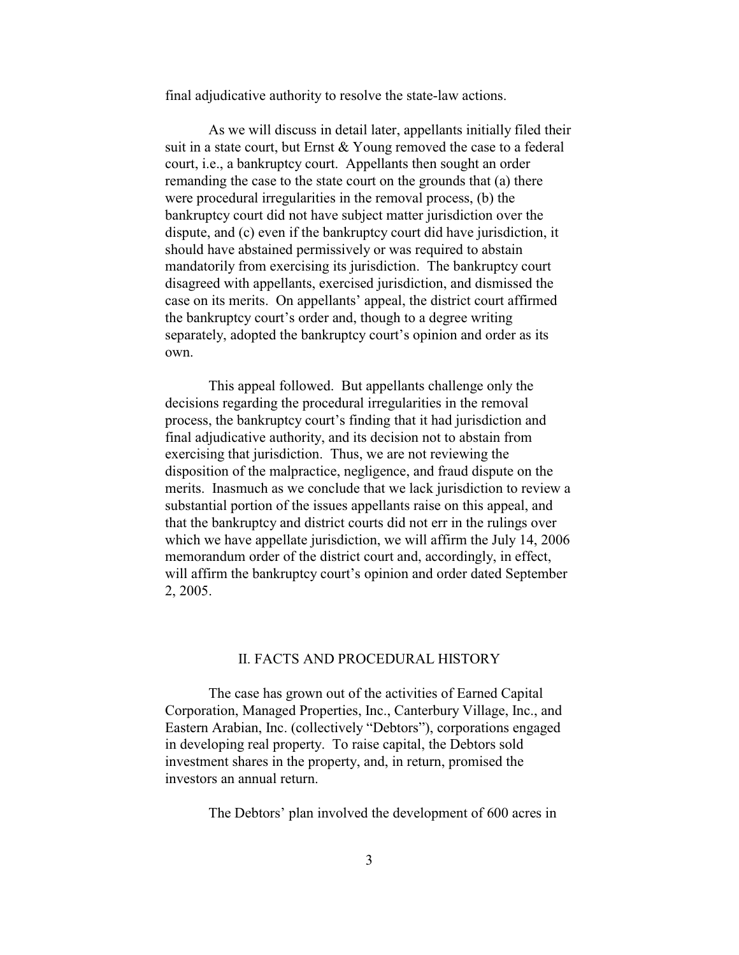final adjudicative authority to resolve the state-law actions.

As we will discuss in detail later, appellants initially filed their suit in a state court, but Ernst & Young removed the case to a federal court, i.e., a bankruptcy court. Appellants then sought an order remanding the case to the state court on the grounds that (a) there were procedural irregularities in the removal process, (b) the bankruptcy court did not have subject matter jurisdiction over the dispute, and (c) even if the bankruptcy court did have jurisdiction, it should have abstained permissively or was required to abstain mandatorily from exercising its jurisdiction. The bankruptcy court disagreed with appellants, exercised jurisdiction, and dismissed the case on its merits. On appellants' appeal, the district court affirmed the bankruptcy court's order and, though to a degree writing separately, adopted the bankruptcy court's opinion and order as its own.

This appeal followed. But appellants challenge only the decisions regarding the procedural irregularities in the removal process, the bankruptcy court's finding that it had jurisdiction and final adjudicative authority, and its decision not to abstain from exercising that jurisdiction. Thus, we are not reviewing the disposition of the malpractice, negligence, and fraud dispute on the merits. Inasmuch as we conclude that we lack jurisdiction to review a substantial portion of the issues appellants raise on this appeal, and that the bankruptcy and district courts did not err in the rulings over which we have appellate jurisdiction, we will affirm the July 14, 2006 memorandum order of the district court and, accordingly, in effect, will affirm the bankruptcy court's opinion and order dated September 2, 2005.

## II. FACTS AND PROCEDURAL HISTORY

The case has grown out of the activities of Earned Capital Corporation, Managed Properties, Inc., Canterbury Village, Inc., and Eastern Arabian, Inc. (collectively "Debtors"), corporations engaged in developing real property. To raise capital, the Debtors sold investment shares in the property, and, in return, promised the investors an annual return.

The Debtors' plan involved the development of 600 acres in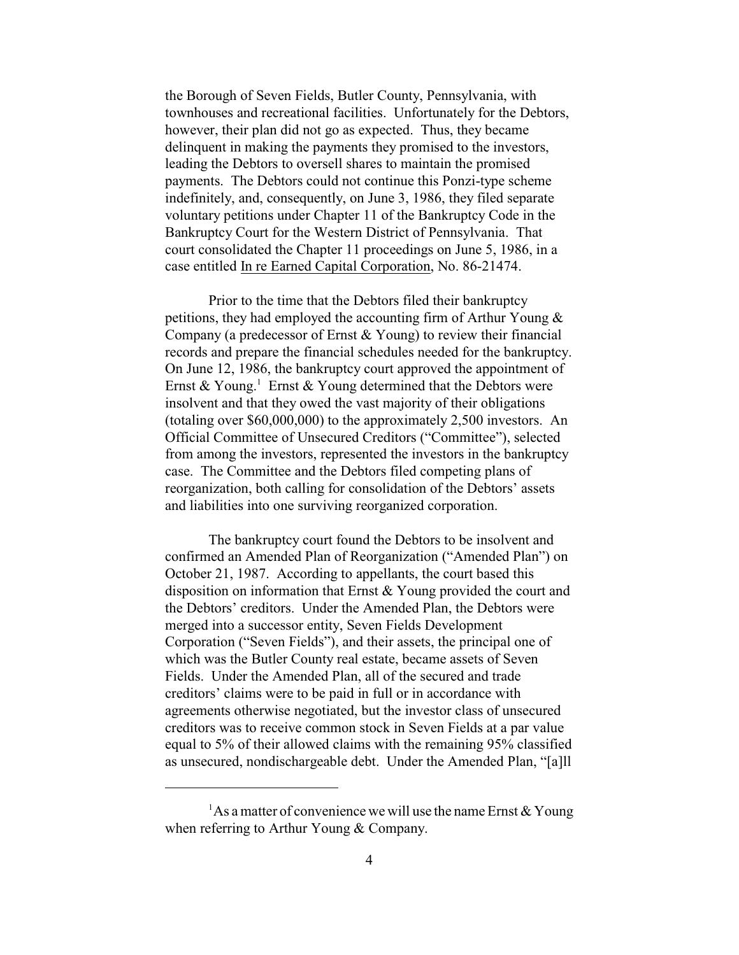the Borough of Seven Fields, Butler County, Pennsylvania, with townhouses and recreational facilities. Unfortunately for the Debtors, however, their plan did not go as expected. Thus, they became delinquent in making the payments they promised to the investors, leading the Debtors to oversell shares to maintain the promised payments. The Debtors could not continue this Ponzi-type scheme indefinitely, and, consequently, on June 3, 1986, they filed separate voluntary petitions under Chapter 11 of the Bankruptcy Code in the Bankruptcy Court for the Western District of Pennsylvania. That court consolidated the Chapter 11 proceedings on June 5, 1986, in a case entitled In re Earned Capital Corporation, No. 86-21474.

Prior to the time that the Debtors filed their bankruptcy petitions, they had employed the accounting firm of Arthur Young & Company (a predecessor of Ernst & Young) to review their financial records and prepare the financial schedules needed for the bankruptcy. On June 12, 1986, the bankruptcy court approved the appointment of Ernst & Young.<sup>1</sup> Ernst & Young determined that the Debtors were insolvent and that they owed the vast majority of their obligations (totaling over \$60,000,000) to the approximately 2,500 investors. An Official Committee of Unsecured Creditors ("Committee"), selected from among the investors, represented the investors in the bankruptcy case. The Committee and the Debtors filed competing plans of reorganization, both calling for consolidation of the Debtors' assets and liabilities into one surviving reorganized corporation.

The bankruptcy court found the Debtors to be insolvent and confirmed an Amended Plan of Reorganization ("Amended Plan") on October 21, 1987. According to appellants, the court based this disposition on information that Ernst & Young provided the court and the Debtors' creditors. Under the Amended Plan, the Debtors were merged into a successor entity, Seven Fields Development Corporation ("Seven Fields"), and their assets, the principal one of which was the Butler County real estate, became assets of Seven Fields. Under the Amended Plan, all of the secured and trade creditors' claims were to be paid in full or in accordance with agreements otherwise negotiated, but the investor class of unsecured creditors was to receive common stock in Seven Fields at a par value equal to 5% of their allowed claims with the remaining 95% classified as unsecured, nondischargeable debt. Under the Amended Plan, "[a]ll

<sup>&</sup>lt;sup>1</sup>As a matter of convenience we will use the name Ernst  $\&$  Young when referring to Arthur Young & Company.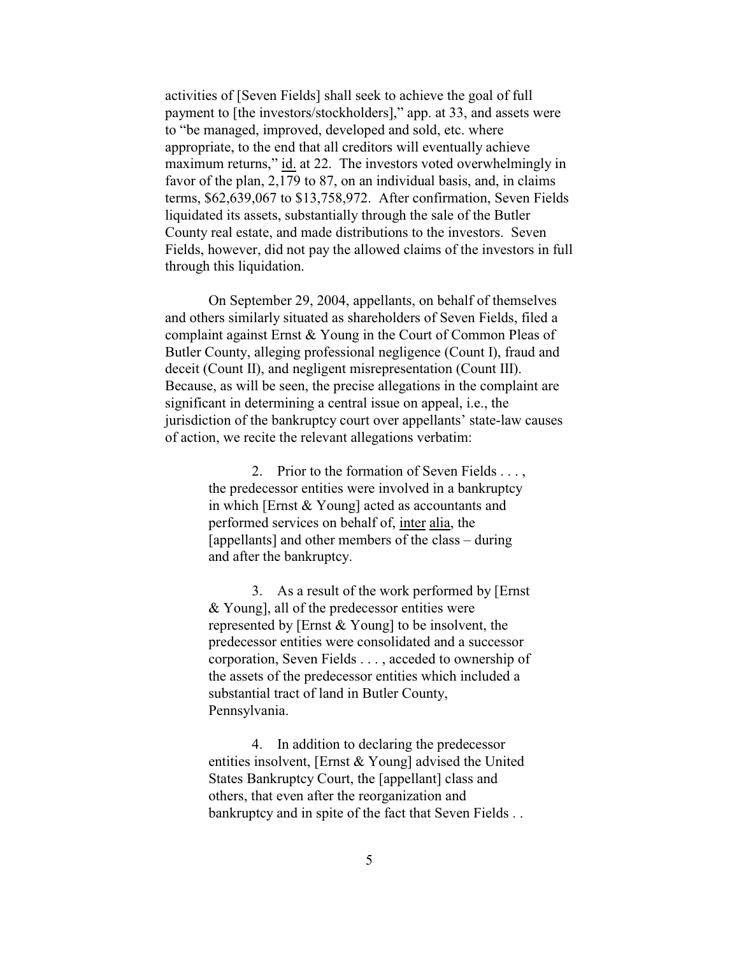activities of [Seven Fields] shall seek to achieve the goal of full payment to [the investors/stockholders]," app. at 33, and assets were to "be managed, improved, developed and sold, etc. where appropriate, to the end that all creditors will eventually achieve maximum returns," id. at 22. The investors voted overwhelmingly in favor of the plan, 2,179 to 87, on an individual basis, and, in claims terms, \$62,639,067 to \$13,758,972. After confirmation, Seven Fields liquidated its assets, substantially through the sale of the Butler County real estate, and made distributions to the investors. Seven Fields, however, did not pay the allowed claims of the investors in full through this liquidation.

On September 29, 2004, appellants, on behalf of themselves and others similarly situated as shareholders of Seven Fields, filed a complaint against Ernst & Young in the Court of Common Pleas of Butler County, alleging professional negligence (Count I), fraud and deceit (Count II), and negligent misrepresentation (Count III). Because, as will be seen, the precise allegations in the complaint are significant in determining a central issue on appeal, i.e., the jurisdiction of the bankruptcy court over appellants' state-law causes of action, we recite the relevant allegations verbatim:

> 2. Prior to the formation of Seven Fields . . . , the predecessor entities were involved in a bankruptcy in which [Ernst & Young] acted as accountants and performed services on behalf of, inter alia, the [appellants] and other members of the class – during and after the bankruptcy.

3. As a result of the work performed by [Ernst & Young], all of the predecessor entities were represented by [Ernst & Young] to be insolvent, the predecessor entities were consolidated and a successor corporation, Seven Fields . . . , acceded to ownership of the assets of the predecessor entities which included a substantial tract of land in Butler County, Pennsylvania.

4. In addition to declaring the predecessor entities insolvent, [Ernst & Young] advised the United States Bankruptcy Court, the [appellant] class and others, that even after the reorganization and bankruptcy and in spite of the fact that Seven Fields . .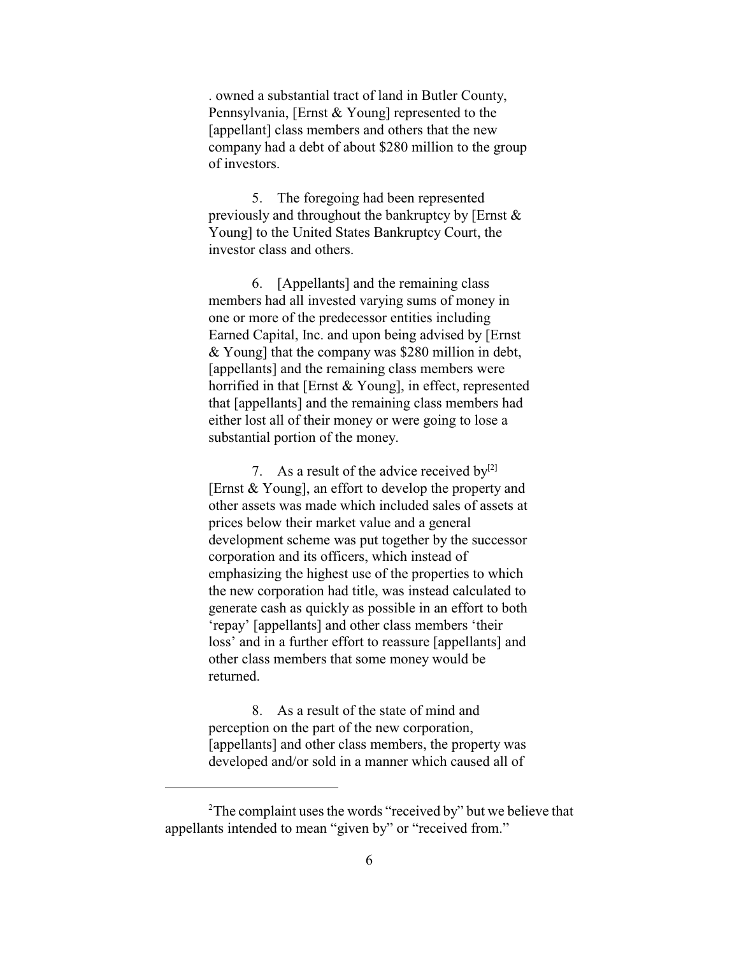. owned a substantial tract of land in Butler County, Pennsylvania, [Ernst & Young] represented to the [appellant] class members and others that the new company had a debt of about \$280 million to the group of investors.

5. The foregoing had been represented previously and throughout the bankruptcy by [Ernst & Young] to the United States Bankruptcy Court, the investor class and others.

6. [Appellants] and the remaining class members had all invested varying sums of money in one or more of the predecessor entities including Earned Capital, Inc. and upon being advised by [Ernst & Young] that the company was \$280 million in debt, [appellants] and the remaining class members were horrified in that [Ernst & Young], in effect, represented that [appellants] and the remaining class members had either lost all of their money or were going to lose a substantial portion of the money.

7. As a result of the advice received  $by^{[2]}$ [Ernst & Young], an effort to develop the property and other assets was made which included sales of assets at prices below their market value and a general development scheme was put together by the successor corporation and its officers, which instead of emphasizing the highest use of the properties to which the new corporation had title, was instead calculated to generate cash as quickly as possible in an effort to both 'repay' [appellants] and other class members 'their loss' and in a further effort to reassure [appellants] and other class members that some money would be returned.

8. As a result of the state of mind and perception on the part of the new corporation, [appellants] and other class members, the property was developed and/or sold in a manner which caused all of

 $2^2$ The complaint uses the words "received by" but we believe that appellants intended to mean "given by" or "received from."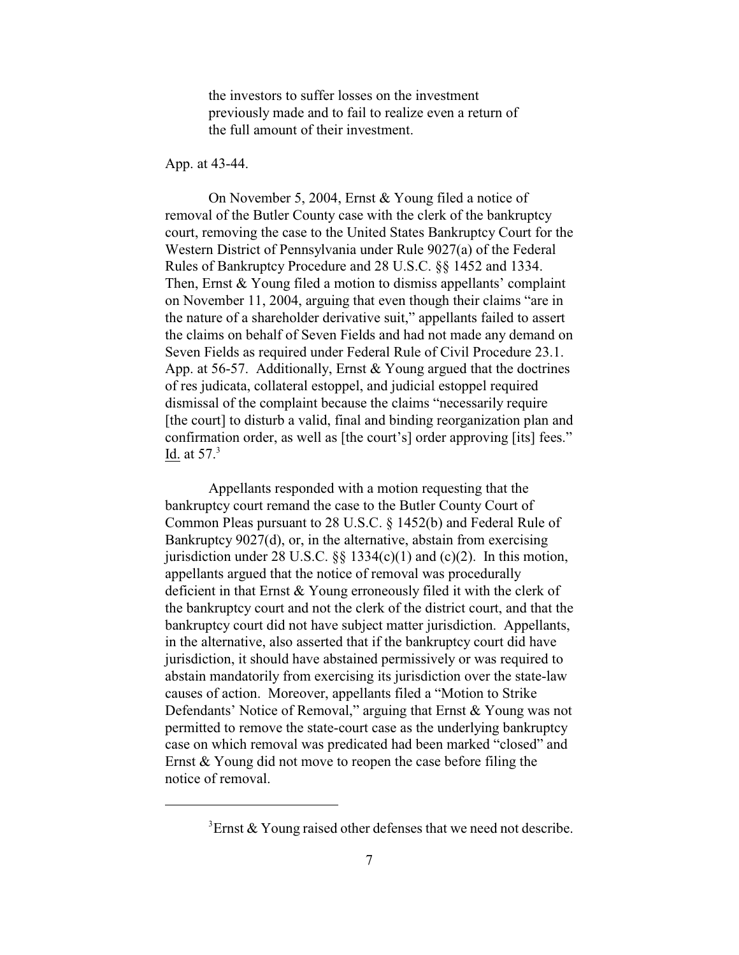the investors to suffer losses on the investment previously made and to fail to realize even a return of the full amount of their investment.

#### App. at 43-44.

On November 5, 2004, Ernst & Young filed a notice of removal of the Butler County case with the clerk of the bankruptcy court, removing the case to the United States Bankruptcy Court for the Western District of Pennsylvania under Rule 9027(a) of the Federal Rules of Bankruptcy Procedure and 28 U.S.C. §§ 1452 and 1334. Then, Ernst & Young filed a motion to dismiss appellants' complaint on November 11, 2004, arguing that even though their claims "are in the nature of a shareholder derivative suit," appellants failed to assert the claims on behalf of Seven Fields and had not made any demand on Seven Fields as required under Federal Rule of Civil Procedure 23.1. App. at 56-57. Additionally, Ernst & Young argued that the doctrines of res judicata, collateral estoppel, and judicial estoppel required dismissal of the complaint because the claims "necessarily require [the court] to disturb a valid, final and binding reorganization plan and confirmation order, as well as [the court's] order approving [its] fees." Id. at  $57<sup>3</sup>$ 

Appellants responded with a motion requesting that the bankruptcy court remand the case to the Butler County Court of Common Pleas pursuant to 28 U.S.C. § 1452(b) and Federal Rule of Bankruptcy 9027(d), or, in the alternative, abstain from exercising jurisdiction under 28 U.S.C.  $\S\S$  1334(c)(1) and (c)(2). In this motion, appellants argued that the notice of removal was procedurally deficient in that Ernst & Young erroneously filed it with the clerk of the bankruptcy court and not the clerk of the district court, and that the bankruptcy court did not have subject matter jurisdiction. Appellants, in the alternative, also asserted that if the bankruptcy court did have jurisdiction, it should have abstained permissively or was required to abstain mandatorily from exercising its jurisdiction over the state-law causes of action. Moreover, appellants filed a "Motion to Strike Defendants' Notice of Removal," arguing that Ernst & Young was not permitted to remove the state-court case as the underlying bankruptcy case on which removal was predicated had been marked "closed" and Ernst & Young did not move to reopen the case before filing the notice of removal.

 ${}^{3}$ Ernst & Young raised other defenses that we need not describe.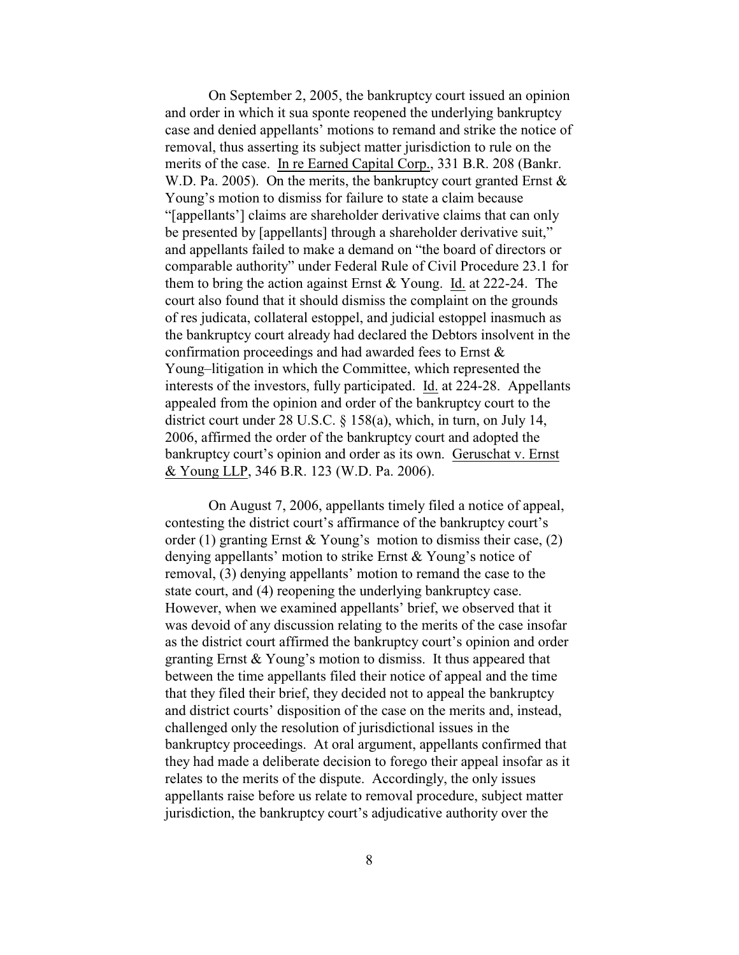On September 2, 2005, the bankruptcy court issued an opinion and order in which it sua sponte reopened the underlying bankruptcy case and denied appellants' motions to remand and strike the notice of removal, thus asserting its subject matter jurisdiction to rule on the merits of the case. In re Earned Capital Corp., 331 B.R. 208 (Bankr. W.D. Pa. 2005). On the merits, the bankruptcy court granted Ernst  $\&$ Young's motion to dismiss for failure to state a claim because "[appellants'] claims are shareholder derivative claims that can only be presented by [appellants] through a shareholder derivative suit," and appellants failed to make a demand on "the board of directors or comparable authority" under Federal Rule of Civil Procedure 23.1 for them to bring the action against Ernst & Young. Id. at 222-24. The court also found that it should dismiss the complaint on the grounds of res judicata, collateral estoppel, and judicial estoppel inasmuch as the bankruptcy court already had declared the Debtors insolvent in the confirmation proceedings and had awarded fees to Ernst & Young–litigation in which the Committee, which represented the interests of the investors, fully participated. Id. at 224-28. Appellants appealed from the opinion and order of the bankruptcy court to the district court under 28 U.S.C. § 158(a), which, in turn, on July 14, 2006, affirmed the order of the bankruptcy court and adopted the bankruptcy court's opinion and order as its own. Geruschat v. Ernst & Young LLP, 346 B.R. 123 (W.D. Pa. 2006).

On August 7, 2006, appellants timely filed a notice of appeal, contesting the district court's affirmance of the bankruptcy court's order (1) granting Ernst & Young's motion to dismiss their case,  $(2)$ denying appellants' motion to strike Ernst & Young's notice of removal, (3) denying appellants' motion to remand the case to the state court, and (4) reopening the underlying bankruptcy case. However, when we examined appellants' brief, we observed that it was devoid of any discussion relating to the merits of the case insofar as the district court affirmed the bankruptcy court's opinion and order granting Ernst & Young's motion to dismiss. It thus appeared that between the time appellants filed their notice of appeal and the time that they filed their brief, they decided not to appeal the bankruptcy and district courts' disposition of the case on the merits and, instead, challenged only the resolution of jurisdictional issues in the bankruptcy proceedings. At oral argument, appellants confirmed that they had made a deliberate decision to forego their appeal insofar as it relates to the merits of the dispute. Accordingly, the only issues appellants raise before us relate to removal procedure, subject matter jurisdiction, the bankruptcy court's adjudicative authority over the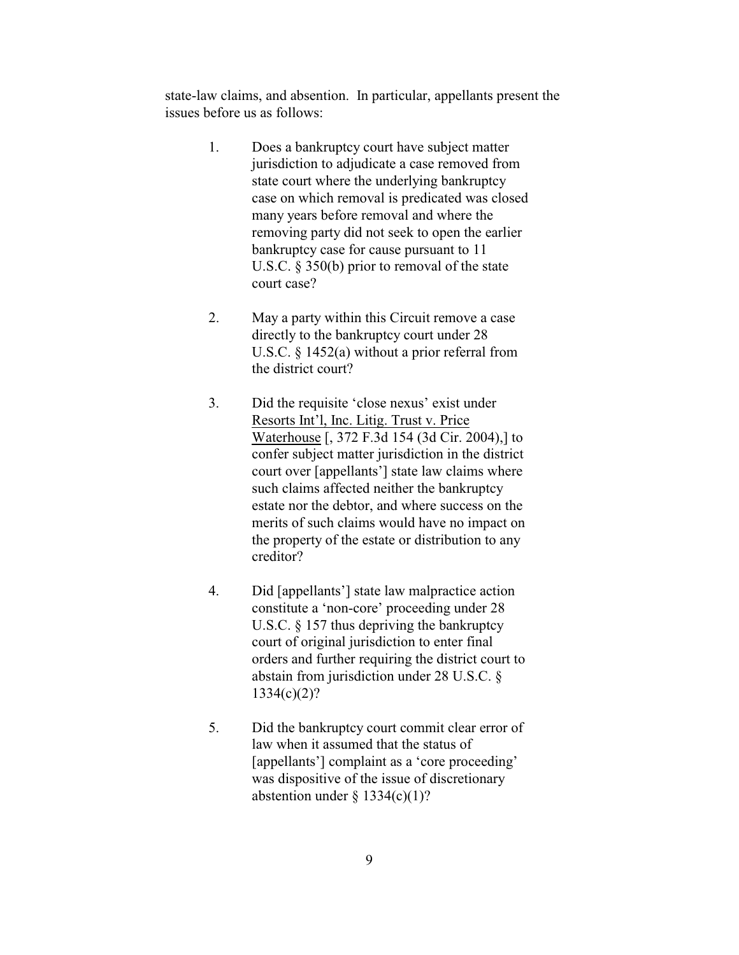state-law claims, and absention. In particular, appellants present the issues before us as follows:

- 1. Does a bankruptcy court have subject matter jurisdiction to adjudicate a case removed from state court where the underlying bankruptcy case on which removal is predicated was closed many years before removal and where the removing party did not seek to open the earlier bankruptcy case for cause pursuant to 11 U.S.C. § 350(b) prior to removal of the state court case?
- 2. May a party within this Circuit remove a case directly to the bankruptcy court under 28 U.S.C. § 1452(a) without a prior referral from the district court?
- 3. Did the requisite 'close nexus' exist under Resorts Int'l, Inc. Litig. Trust v. Price Waterhouse [, 372 F.3d 154 (3d Cir. 2004),] to confer subject matter jurisdiction in the district court over [appellants'] state law claims where such claims affected neither the bankruptcy estate nor the debtor, and where success on the merits of such claims would have no impact on the property of the estate or distribution to any creditor?
- 4. Did [appellants'] state law malpractice action constitute a 'non-core' proceeding under 28 U.S.C.  $\S$  157 thus depriving the bankruptcy court of original jurisdiction to enter final orders and further requiring the district court to abstain from jurisdiction under 28 U.S.C. § 1334(c)(2)?
- 5. Did the bankruptcy court commit clear error of law when it assumed that the status of [appellants'] complaint as a 'core proceeding' was dispositive of the issue of discretionary abstention under  $\S$  1334(c)(1)?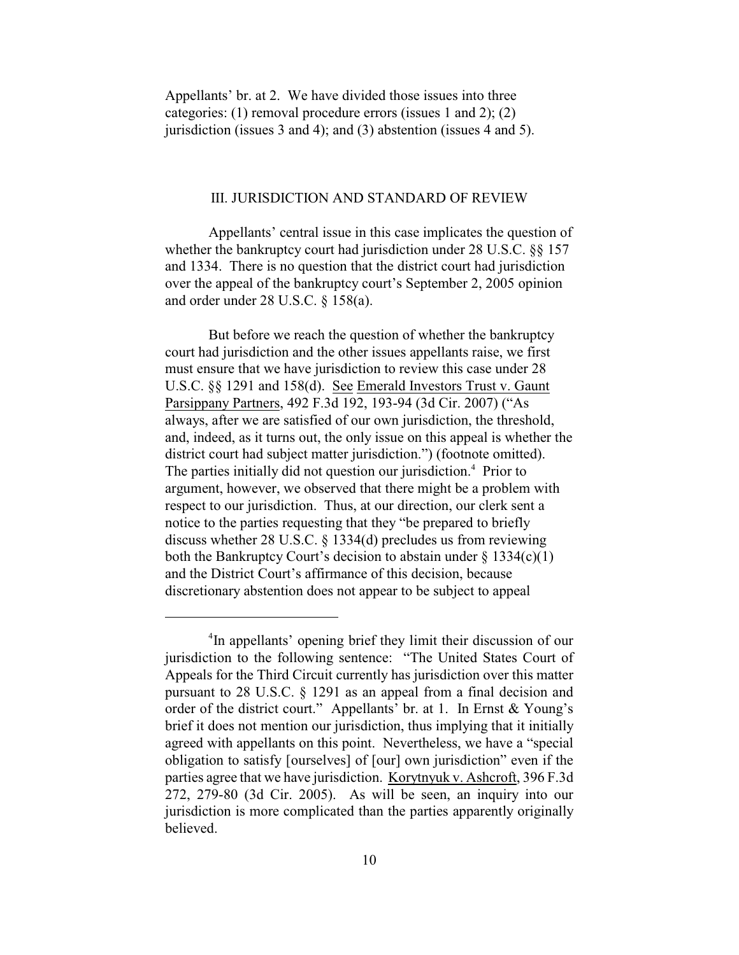Appellants' br. at 2. We have divided those issues into three categories: (1) removal procedure errors (issues 1 and 2); (2) jurisdiction (issues 3 and 4); and (3) abstention (issues 4 and 5).

#### III. JURISDICTION AND STANDARD OF REVIEW

Appellants' central issue in this case implicates the question of whether the bankruptcy court had jurisdiction under 28 U.S.C. §§ 157 and 1334. There is no question that the district court had jurisdiction over the appeal of the bankruptcy court's September 2, 2005 opinion and order under 28 U.S.C. § 158(a).

But before we reach the question of whether the bankruptcy court had jurisdiction and the other issues appellants raise, we first must ensure that we have jurisdiction to review this case under 28 U.S.C. §§ 1291 and 158(d). See Emerald Investors Trust v. Gaunt Parsippany Partners, 492 F.3d 192, 193-94 (3d Cir. 2007) ("As always, after we are satisfied of our own jurisdiction, the threshold, and, indeed, as it turns out, the only issue on this appeal is whether the district court had subject matter jurisdiction.") (footnote omitted). The parties initially did not question our jurisdiction.<sup>4</sup> Prior to argument, however, we observed that there might be a problem with respect to our jurisdiction. Thus, at our direction, our clerk sent a notice to the parties requesting that they "be prepared to briefly discuss whether 28 U.S.C. § 1334(d) precludes us from reviewing both the Bankruptcy Court's decision to abstain under  $\S$  1334(c)(1) and the District Court's affirmance of this decision, because discretionary abstention does not appear to be subject to appeal

<sup>&</sup>lt;sup>4</sup>In appellants' opening brief they limit their discussion of our jurisdiction to the following sentence: "The United States Court of Appeals for the Third Circuit currently has jurisdiction over this matter pursuant to 28 U.S.C. § 1291 as an appeal from a final decision and order of the district court." Appellants' br. at 1. In Ernst & Young's brief it does not mention our jurisdiction, thus implying that it initially agreed with appellants on this point. Nevertheless, we have a "special obligation to satisfy [ourselves] of [our] own jurisdiction" even if the parties agree that we have jurisdiction. Korytnyuk v. Ashcroft, 396 F.3d 272, 279-80 (3d Cir. 2005). As will be seen, an inquiry into our jurisdiction is more complicated than the parties apparently originally believed.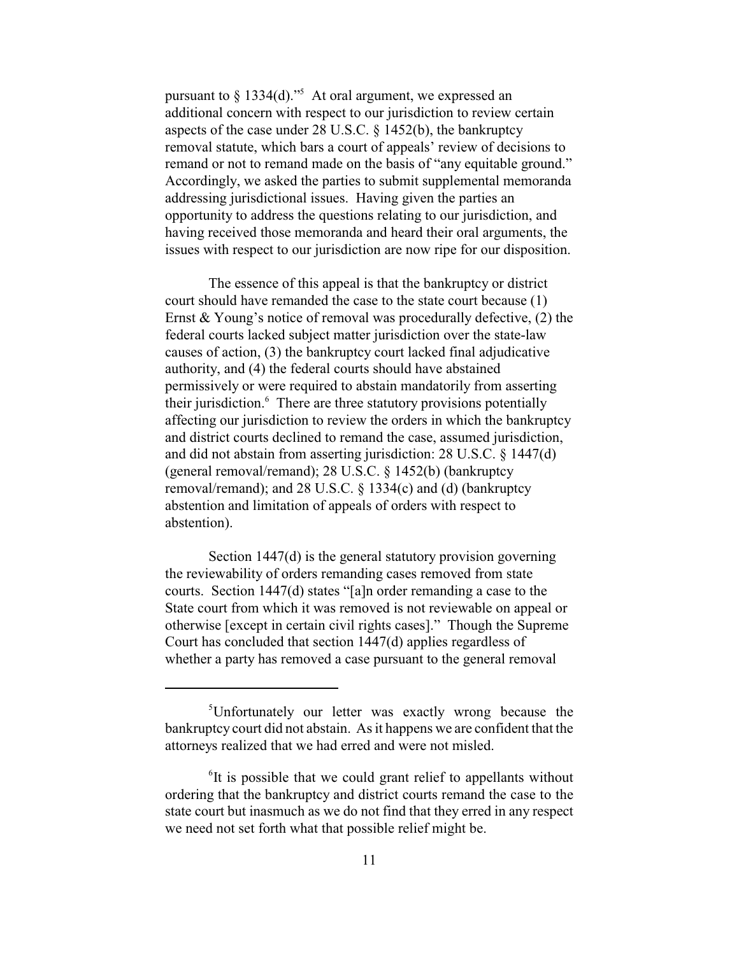pursuant to  $\S 1334(d).$ <sup>5</sup> At oral argument, we expressed an additional concern with respect to our jurisdiction to review certain aspects of the case under 28 U.S.C. § 1452(b), the bankruptcy removal statute, which bars a court of appeals' review of decisions to remand or not to remand made on the basis of "any equitable ground." Accordingly, we asked the parties to submit supplemental memoranda addressing jurisdictional issues. Having given the parties an opportunity to address the questions relating to our jurisdiction, and having received those memoranda and heard their oral arguments, the issues with respect to our jurisdiction are now ripe for our disposition.

The essence of this appeal is that the bankruptcy or district court should have remanded the case to the state court because (1) Ernst & Young's notice of removal was procedurally defective, (2) the federal courts lacked subject matter jurisdiction over the state-law causes of action, (3) the bankruptcy court lacked final adjudicative authority, and (4) the federal courts should have abstained permissively or were required to abstain mandatorily from asserting their jurisdiction.<sup>6</sup> There are three statutory provisions potentially affecting our jurisdiction to review the orders in which the bankruptcy and district courts declined to remand the case, assumed jurisdiction, and did not abstain from asserting jurisdiction: 28 U.S.C. § 1447(d) (general removal/remand); 28 U.S.C. § 1452(b) (bankruptcy removal/remand); and 28 U.S.C. § 1334(c) and (d) (bankruptcy abstention and limitation of appeals of orders with respect to abstention).

Section 1447(d) is the general statutory provision governing the reviewability of orders remanding cases removed from state courts. Section 1447(d) states "[a]n order remanding a case to the State court from which it was removed is not reviewable on appeal or otherwise [except in certain civil rights cases]." Though the Supreme Court has concluded that section 1447(d) applies regardless of whether a party has removed a case pursuant to the general removal

<sup>&</sup>lt;sup>5</sup>Unfortunately our letter was exactly wrong because the bankruptcy court did not abstain. As it happens we are confident that the attorneys realized that we had erred and were not misled.

 $\delta$ It is possible that we could grant relief to appellants without ordering that the bankruptcy and district courts remand the case to the state court but inasmuch as we do not find that they erred in any respect we need not set forth what that possible relief might be.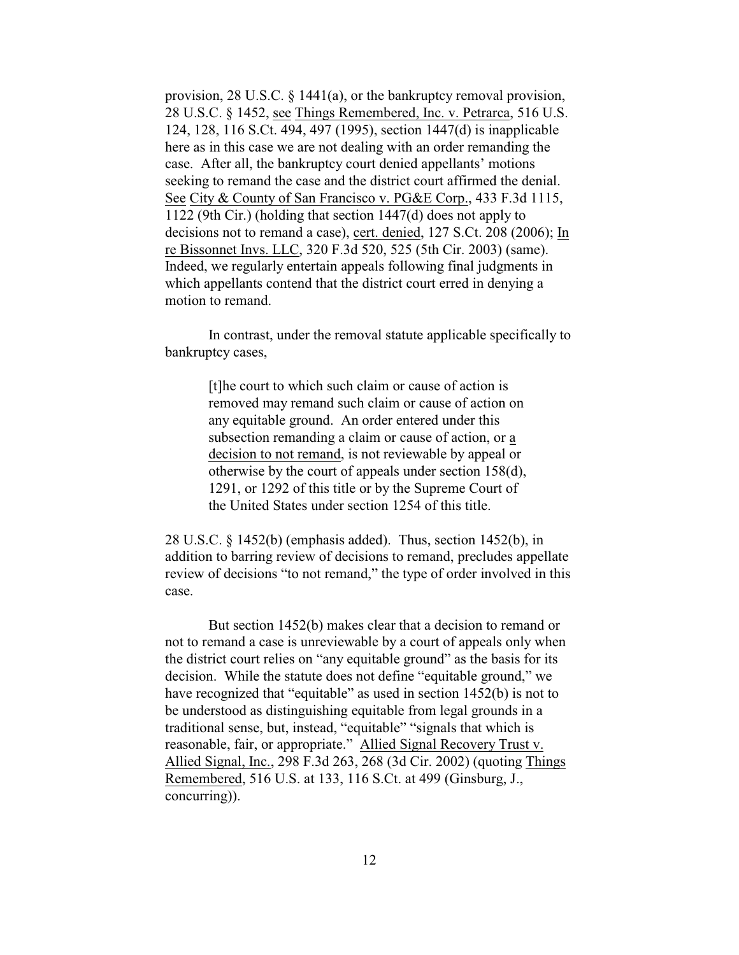provision, 28 U.S.C. § 1441(a), or the bankruptcy removal provision, 28 U.S.C. § 1452, see Things Remembered, Inc. v. Petrarca, 516 U.S. 124, 128, 116 S.Ct. 494, 497 (1995), section 1447(d) is inapplicable here as in this case we are not dealing with an order remanding the case. After all, the bankruptcy court denied appellants' motions seeking to remand the case and the district court affirmed the denial. See City & County of San Francisco v. PG&E Corp., 433 F.3d 1115, 1122 (9th Cir.) (holding that section 1447(d) does not apply to decisions not to remand a case), cert. denied, 127 S.Ct. 208 (2006); In re Bissonnet Invs. LLC, 320 F.3d 520, 525 (5th Cir. 2003) (same). Indeed, we regularly entertain appeals following final judgments in which appellants contend that the district court erred in denying a motion to remand.

In contrast, under the removal statute applicable specifically to bankruptcy cases,

> [t]he court to which such claim or cause of action is removed may remand such claim or cause of action on any equitable ground. An order entered under this subsection remanding a claim or cause of action, or a decision to not remand, is not reviewable by appeal or otherwise by the court of appeals under section 158(d), 1291, or 1292 of this title or by the Supreme Court of the United States under section 1254 of this title.

28 U.S.C. § 1452(b) (emphasis added). Thus, section 1452(b), in addition to barring review of decisions to remand, precludes appellate review of decisions "to not remand," the type of order involved in this case.

But section 1452(b) makes clear that a decision to remand or not to remand a case is unreviewable by a court of appeals only when the district court relies on "any equitable ground" as the basis for its decision. While the statute does not define "equitable ground," we have recognized that "equitable" as used in section 1452(b) is not to be understood as distinguishing equitable from legal grounds in a traditional sense, but, instead, "equitable" "signals that which is reasonable, fair, or appropriate." Allied Signal Recovery Trust v. Allied Signal, Inc., 298 F.3d 263, 268 (3d Cir. 2002) (quoting Things Remembered, 516 U.S. at 133, 116 S.Ct. at 499 (Ginsburg, J., concurring)).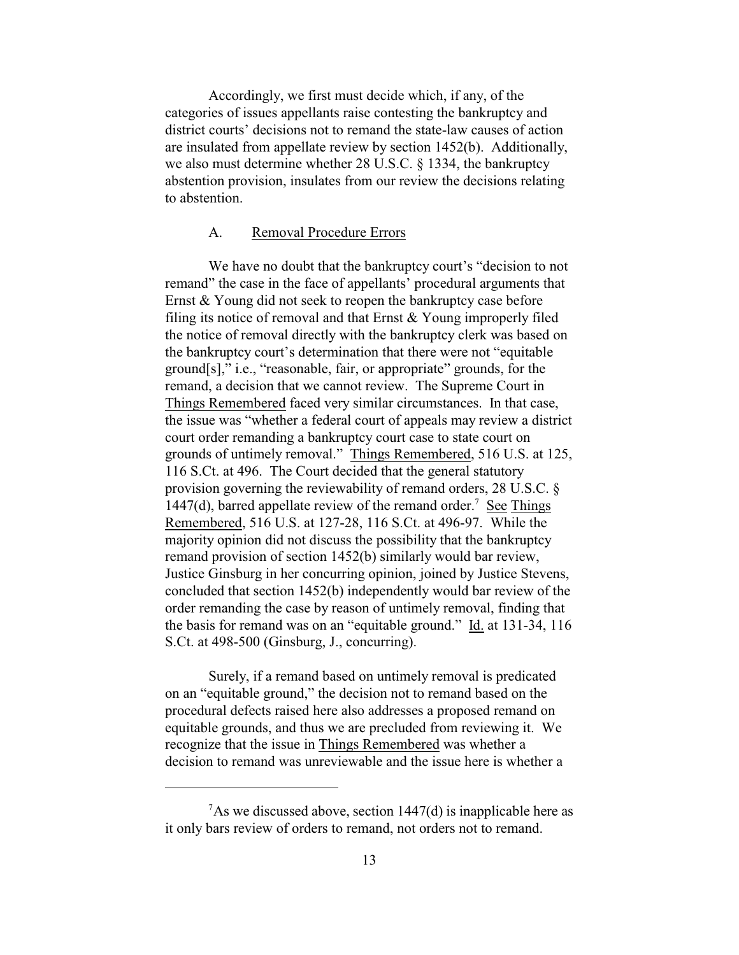Accordingly, we first must decide which, if any, of the categories of issues appellants raise contesting the bankruptcy and district courts' decisions not to remand the state-law causes of action are insulated from appellate review by section 1452(b). Additionally, we also must determine whether 28 U.S.C. § 1334, the bankruptcy abstention provision, insulates from our review the decisions relating to abstention.

## A. Removal Procedure Errors

We have no doubt that the bankruptcy court's "decision to not remand" the case in the face of appellants' procedural arguments that Ernst & Young did not seek to reopen the bankruptcy case before filing its notice of removal and that Ernst & Young improperly filed the notice of removal directly with the bankruptcy clerk was based on the bankruptcy court's determination that there were not "equitable ground[s]," i.e., "reasonable, fair, or appropriate" grounds, for the remand, a decision that we cannot review. The Supreme Court in Things Remembered faced very similar circumstances. In that case, the issue was "whether a federal court of appeals may review a district court order remanding a bankruptcy court case to state court on grounds of untimely removal." Things Remembered, 516 U.S. at 125, 116 S.Ct. at 496. The Court decided that the general statutory provision governing the reviewability of remand orders, 28 U.S.C. § 1447(d), barred appellate review of the remand order.<sup>7</sup> See Things Remembered, 516 U.S. at 127-28, 116 S.Ct. at 496-97. While the majority opinion did not discuss the possibility that the bankruptcy remand provision of section 1452(b) similarly would bar review, Justice Ginsburg in her concurring opinion, joined by Justice Stevens, concluded that section 1452(b) independently would bar review of the order remanding the case by reason of untimely removal, finding that the basis for remand was on an "equitable ground." Id. at 131-34, 116 S.Ct. at 498-500 (Ginsburg, J., concurring).

Surely, if a remand based on untimely removal is predicated on an "equitable ground," the decision not to remand based on the procedural defects raised here also addresses a proposed remand on equitable grounds, and thus we are precluded from reviewing it. We recognize that the issue in Things Remembered was whether a decision to remand was unreviewable and the issue here is whether a

 $^7$ As we discussed above, section 1447(d) is inapplicable here as it only bars review of orders to remand, not orders not to remand.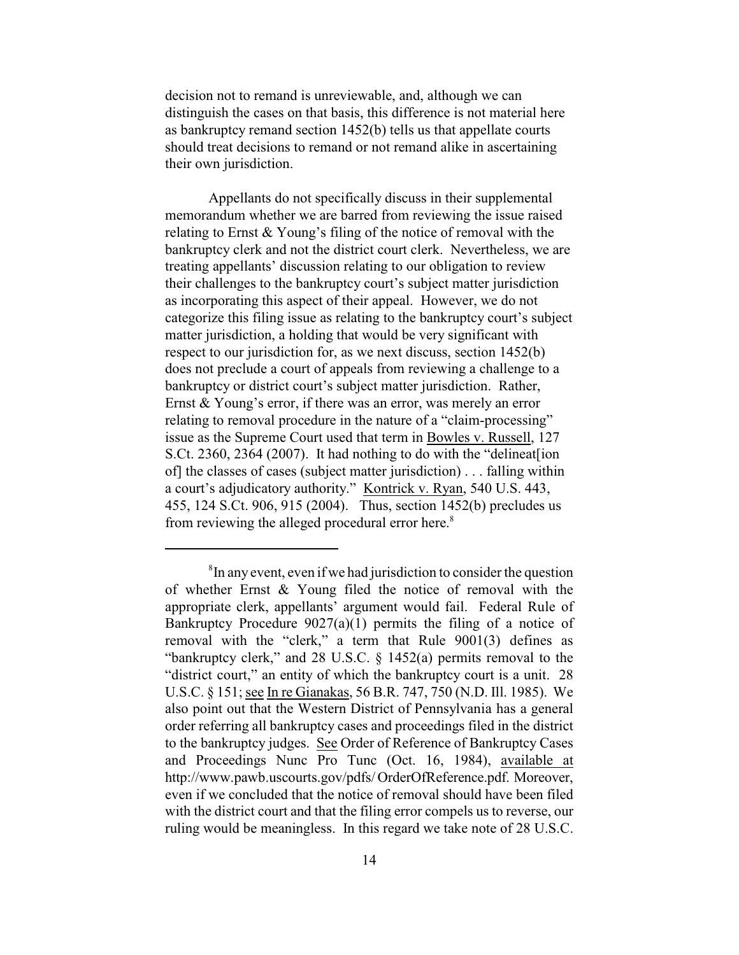decision not to remand is unreviewable, and, although we can distinguish the cases on that basis, this difference is not material here as bankruptcy remand section 1452(b) tells us that appellate courts should treat decisions to remand or not remand alike in ascertaining their own jurisdiction.

Appellants do not specifically discuss in their supplemental memorandum whether we are barred from reviewing the issue raised relating to Ernst & Young's filing of the notice of removal with the bankruptcy clerk and not the district court clerk. Nevertheless, we are treating appellants' discussion relating to our obligation to review their challenges to the bankruptcy court's subject matter jurisdiction as incorporating this aspect of their appeal. However, we do not categorize this filing issue as relating to the bankruptcy court's subject matter jurisdiction, a holding that would be very significant with respect to our jurisdiction for, as we next discuss, section 1452(b) does not preclude a court of appeals from reviewing a challenge to a bankruptcy or district court's subject matter jurisdiction. Rather, Ernst & Young's error, if there was an error, was merely an error relating to removal procedure in the nature of a "claim-processing" issue as the Supreme Court used that term in Bowles v. Russell, 127 S.Ct. 2360, 2364 (2007). It had nothing to do with the "delineat[ion of] the classes of cases (subject matter jurisdiction) . . . falling within a court's adjudicatory authority." Kontrick v. Ryan, 540 U.S. 443, 455, 124 S.Ct. 906, 915 (2004). Thus, section 1452(b) precludes us from reviewing the alleged procedural error here.<sup>8</sup>

 ${}^{8}$ In any event, even if we had jurisdiction to consider the question of whether Ernst & Young filed the notice of removal with the appropriate clerk, appellants' argument would fail. Federal Rule of Bankruptcy Procedure  $9027(a)(1)$  permits the filing of a notice of removal with the "clerk," a term that Rule 9001(3) defines as "bankruptcy clerk," and 28 U.S.C. § 1452(a) permits removal to the "district court," an entity of which the bankruptcy court is a unit. 28 U.S.C. § 151; see In re Gianakas, 56 B.R. 747, 750 (N.D. Ill. 1985). We also point out that the Western District of Pennsylvania has a general order referring all bankruptcy cases and proceedings filed in the district to the bankruptcy judges. See Order of Reference of Bankruptcy Cases and Proceedings Nunc Pro Tunc (Oct. 16, 1984), available at http://www.pawb.uscourts.gov/pdfs/ OrderOfReference.pdf. Moreover, even if we concluded that the notice of removal should have been filed with the district court and that the filing error compels us to reverse, our ruling would be meaningless. In this regard we take note of 28 U.S.C.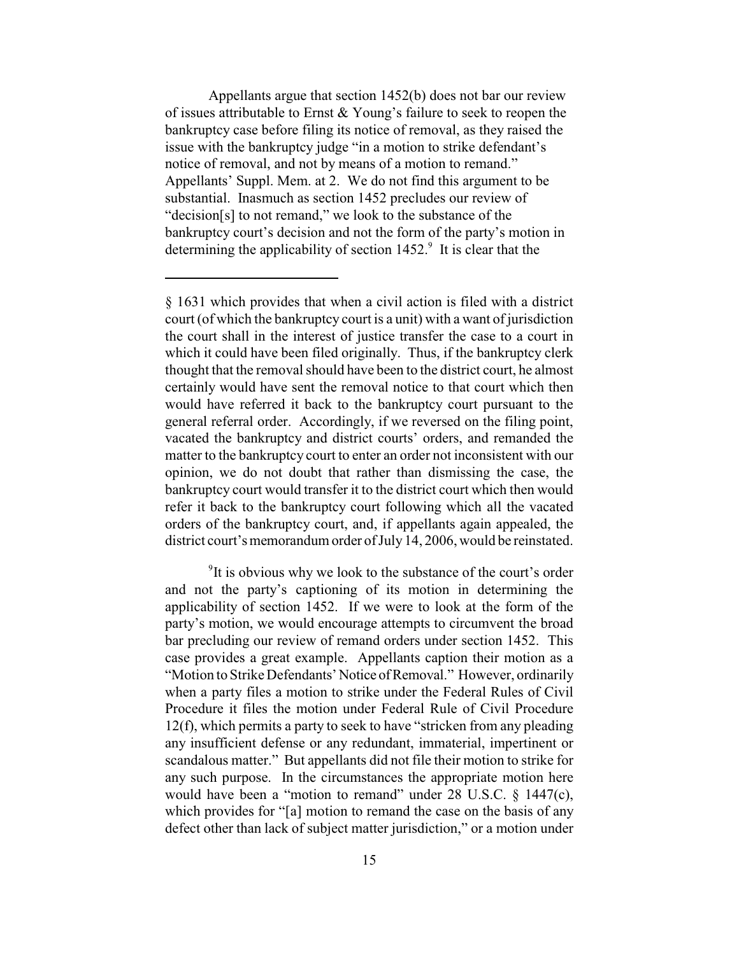Appellants argue that section 1452(b) does not bar our review of issues attributable to Ernst & Young's failure to seek to reopen the bankruptcy case before filing its notice of removal, as they raised the issue with the bankruptcy judge "in a motion to strike defendant's notice of removal, and not by means of a motion to remand." Appellants' Suppl. Mem. at 2. We do not find this argument to be substantial. Inasmuch as section 1452 precludes our review of "decision[s] to not remand," we look to the substance of the bankruptcy court's decision and not the form of the party's motion in determining the applicability of section  $1452<sup>9</sup>$ . It is clear that the

 $9$ It is obvious why we look to the substance of the court's order and not the party's captioning of its motion in determining the applicability of section 1452. If we were to look at the form of the party's motion, we would encourage attempts to circumvent the broad bar precluding our review of remand orders under section 1452. This case provides a great example. Appellants caption their motion as a "Motion to Strike Defendants' Notice of Removal." However, ordinarily when a party files a motion to strike under the Federal Rules of Civil Procedure it files the motion under Federal Rule of Civil Procedure 12(f), which permits a party to seek to have "stricken from any pleading any insufficient defense or any redundant, immaterial, impertinent or scandalous matter." But appellants did not file their motion to strike for any such purpose. In the circumstances the appropriate motion here would have been a "motion to remand" under 28 U.S.C. § 1447(c), which provides for "[a] motion to remand the case on the basis of any defect other than lack of subject matter jurisdiction," or a motion under

<sup>§ 1631</sup> which provides that when a civil action is filed with a district court (of which the bankruptcy court is a unit) with a want of jurisdiction the court shall in the interest of justice transfer the case to a court in which it could have been filed originally. Thus, if the bankruptcy clerk thought that the removal should have been to the district court, he almost certainly would have sent the removal notice to that court which then would have referred it back to the bankruptcy court pursuant to the general referral order. Accordingly, if we reversed on the filing point, vacated the bankruptcy and district courts' orders, and remanded the matter to the bankruptcy court to enter an order not inconsistent with our opinion, we do not doubt that rather than dismissing the case, the bankruptcy court would transfer it to the district court which then would refer it back to the bankruptcy court following which all the vacated orders of the bankruptcy court, and, if appellants again appealed, the district court's memorandum order of July 14, 2006, would be reinstated.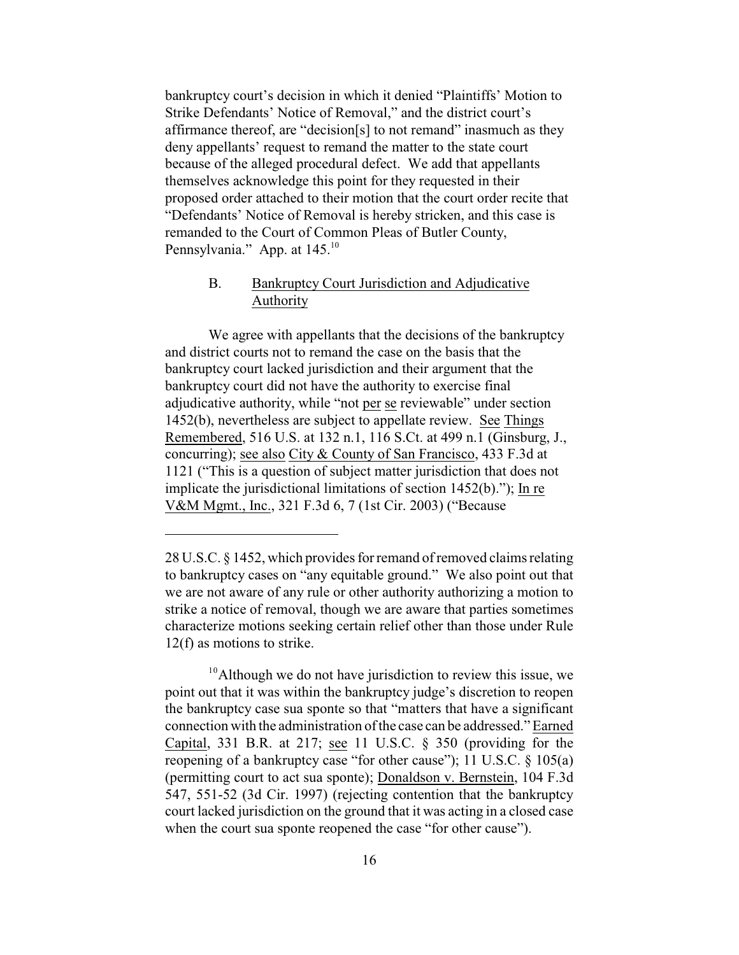bankruptcy court's decision in which it denied "Plaintiffs' Motion to Strike Defendants' Notice of Removal," and the district court's affirmance thereof, are "decision[s] to not remand" inasmuch as they deny appellants' request to remand the matter to the state court because of the alleged procedural defect. We add that appellants themselves acknowledge this point for they requested in their proposed order attached to their motion that the court order recite that "Defendants' Notice of Removal is hereby stricken, and this case is remanded to the Court of Common Pleas of Butler County, Pennsylvania." App. at 145.<sup>10</sup>

# B. Bankruptcy Court Jurisdiction and Adjudicative Authority

We agree with appellants that the decisions of the bankruptcy and district courts not to remand the case on the basis that the bankruptcy court lacked jurisdiction and their argument that the bankruptcy court did not have the authority to exercise final adjudicative authority, while "not per se reviewable" under section 1452(b), nevertheless are subject to appellate review. See Things Remembered, 516 U.S. at 132 n.1, 116 S.Ct. at 499 n.1 (Ginsburg, J., concurring); see also City & County of San Francisco, 433 F.3d at 1121 ("This is a question of subject matter jurisdiction that does not implicate the jurisdictional limitations of section 1452(b)."); In re V&M Mgmt., Inc., 321 F.3d 6, 7 (1st Cir. 2003) ("Because

<sup>28</sup> U.S.C. § 1452, which provides for remand of removed claims relating to bankruptcy cases on "any equitable ground." We also point out that we are not aware of any rule or other authority authorizing a motion to strike a notice of removal, though we are aware that parties sometimes characterize motions seeking certain relief other than those under Rule 12(f) as motions to strike.

 $10<sup>10</sup>$ Although we do not have jurisdiction to review this issue, we point out that it was within the bankruptcy judge's discretion to reopen the bankruptcy case sua sponte so that "matters that have a significant connection with the administration ofthe case can be addressed." Earned Capital, 331 B.R. at 217; see 11 U.S.C. § 350 (providing for the reopening of a bankruptcy case "for other cause"); 11 U.S.C. § 105(a) (permitting court to act sua sponte); Donaldson v. Bernstein, 104 F.3d 547, 551-52 (3d Cir. 1997) (rejecting contention that the bankruptcy court lacked jurisdiction on the ground that it was acting in a closed case when the court sua sponte reopened the case "for other cause").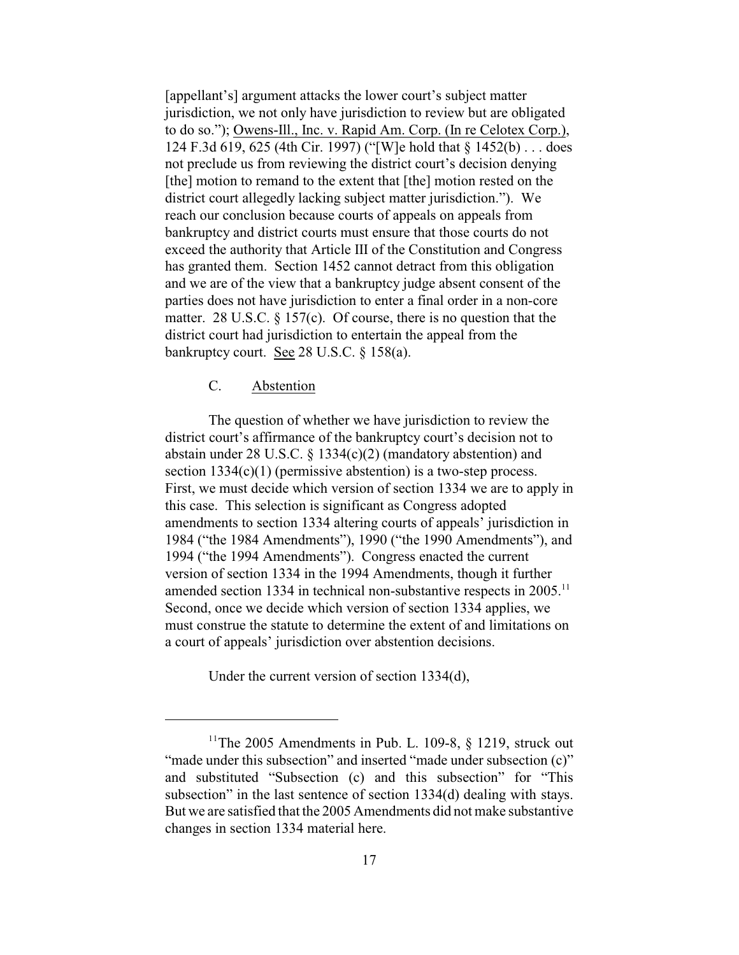[appellant's] argument attacks the lower court's subject matter jurisdiction, we not only have jurisdiction to review but are obligated to do so."); Owens-Ill., Inc. v. Rapid Am. Corp. (In re Celotex Corp.), 124 F.3d 619, 625 (4th Cir. 1997) ("[W]e hold that § 1452(b) . . . does not preclude us from reviewing the district court's decision denying [the] motion to remand to the extent that [the] motion rested on the district court allegedly lacking subject matter jurisdiction."). We reach our conclusion because courts of appeals on appeals from bankruptcy and district courts must ensure that those courts do not exceed the authority that Article III of the Constitution and Congress has granted them. Section 1452 cannot detract from this obligation and we are of the view that a bankruptcy judge absent consent of the parties does not have jurisdiction to enter a final order in a non-core matter. 28 U.S.C. § 157(c). Of course, there is no question that the district court had jurisdiction to entertain the appeal from the bankruptcy court. See 28 U.S.C. § 158(a).

## C. Abstention

The question of whether we have jurisdiction to review the district court's affirmance of the bankruptcy court's decision not to abstain under 28 U.S.C. § 1334(c)(2) (mandatory abstention) and section  $1334(c)(1)$  (permissive abstention) is a two-step process. First, we must decide which version of section 1334 we are to apply in this case. This selection is significant as Congress adopted amendments to section 1334 altering courts of appeals' jurisdiction in 1984 ("the 1984 Amendments"), 1990 ("the 1990 Amendments"), and 1994 ("the 1994 Amendments"). Congress enacted the current version of section 1334 in the 1994 Amendments, though it further amended section 1334 in technical non-substantive respects in  $2005$ .<sup>11</sup> Second, once we decide which version of section 1334 applies, we must construe the statute to determine the extent of and limitations on a court of appeals' jurisdiction over abstention decisions.

Under the current version of section 1334(d),

<sup>&</sup>lt;sup>11</sup>The 2005 Amendments in Pub. L. 109-8,  $\S$  1219, struck out "made under this subsection" and inserted "made under subsection (c)" and substituted "Subsection (c) and this subsection" for "This subsection" in the last sentence of section 1334(d) dealing with stays. But we are satisfied that the 2005 Amendments did not make substantive changes in section 1334 material here.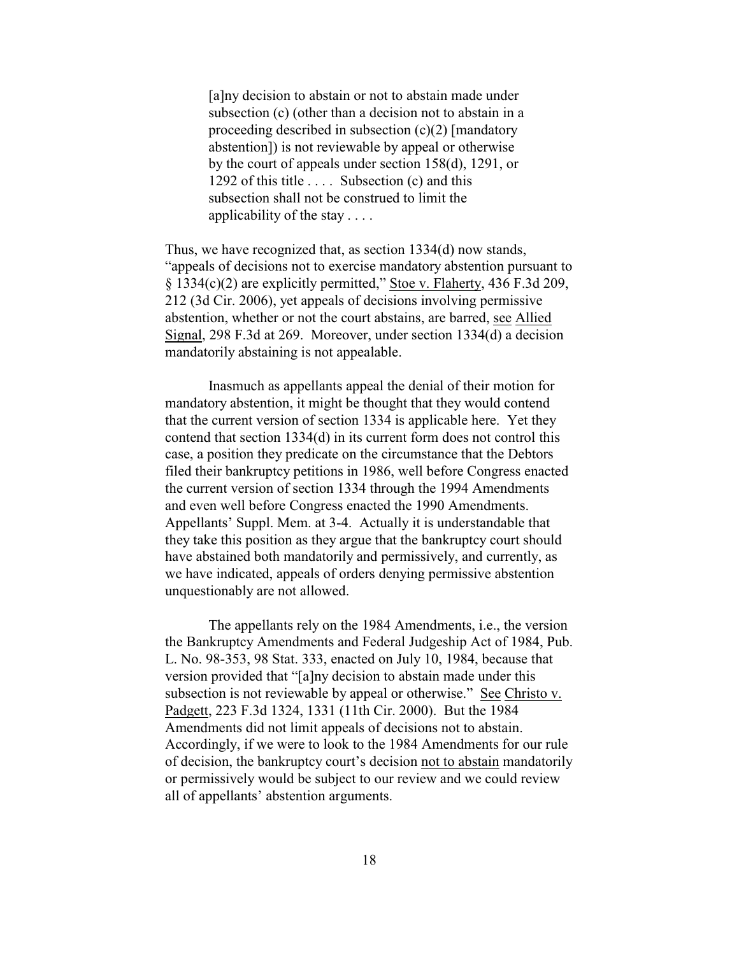[a]ny decision to abstain or not to abstain made under subsection (c) (other than a decision not to abstain in a proceeding described in subsection (c)(2) [mandatory abstention]) is not reviewable by appeal or otherwise by the court of appeals under section 158(d), 1291, or 1292 of this title  $\dots$ . Subsection (c) and this subsection shall not be construed to limit the applicability of the stay . . . .

Thus, we have recognized that, as section 1334(d) now stands, "appeals of decisions not to exercise mandatory abstention pursuant to § 1334(c)(2) are explicitly permitted," Stoe v. Flaherty, 436 F.3d 209, 212 (3d Cir. 2006), yet appeals of decisions involving permissive abstention, whether or not the court abstains, are barred, see Allied Signal, 298 F.3d at 269. Moreover, under section 1334(d) a decision mandatorily abstaining is not appealable.

Inasmuch as appellants appeal the denial of their motion for mandatory abstention, it might be thought that they would contend that the current version of section 1334 is applicable here. Yet they contend that section 1334(d) in its current form does not control this case, a position they predicate on the circumstance that the Debtors filed their bankruptcy petitions in 1986, well before Congress enacted the current version of section 1334 through the 1994 Amendments and even well before Congress enacted the 1990 Amendments. Appellants' Suppl. Mem. at 3-4. Actually it is understandable that they take this position as they argue that the bankruptcy court should have abstained both mandatorily and permissively, and currently, as we have indicated, appeals of orders denying permissive abstention unquestionably are not allowed.

The appellants rely on the 1984 Amendments, i.e., the version the Bankruptcy Amendments and Federal Judgeship Act of 1984, Pub. L. No. 98-353, 98 Stat. 333, enacted on July 10, 1984, because that version provided that "[a]ny decision to abstain made under this subsection is not reviewable by appeal or otherwise." See Christo v. Padgett, 223 F.3d 1324, 1331 (11th Cir. 2000). But the 1984 Amendments did not limit appeals of decisions not to abstain. Accordingly, if we were to look to the 1984 Amendments for our rule of decision, the bankruptcy court's decision not to abstain mandatorily or permissively would be subject to our review and we could review all of appellants' abstention arguments.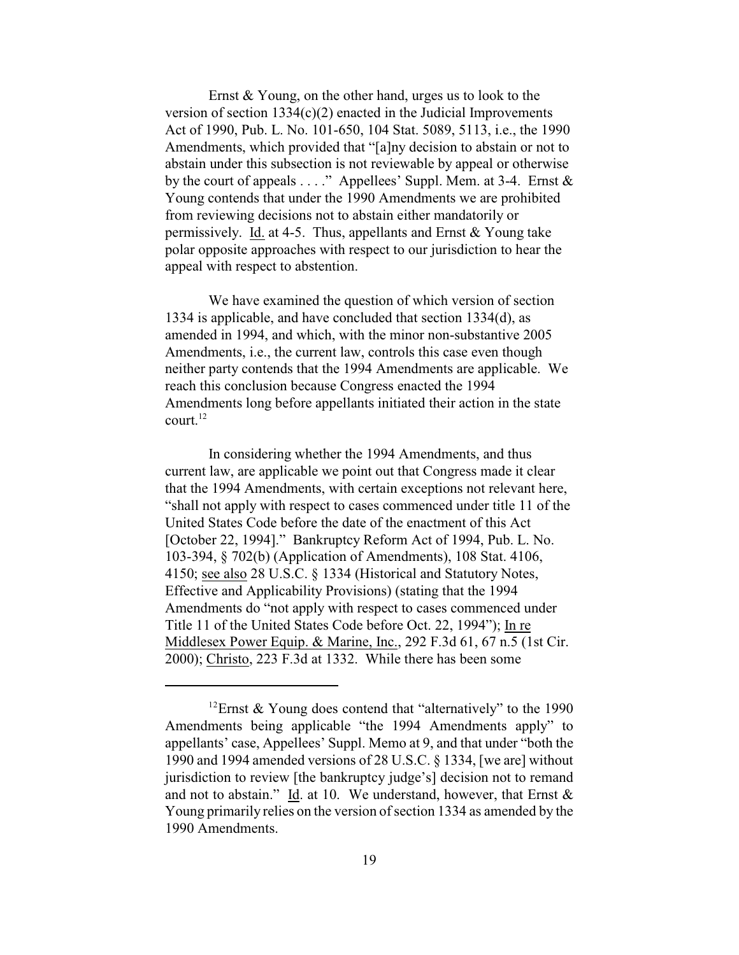Ernst & Young, on the other hand, urges us to look to the version of section 1334(c)(2) enacted in the Judicial Improvements Act of 1990, Pub. L. No. 101-650, 104 Stat. 5089, 5113, i.e., the 1990 Amendments, which provided that "[a]ny decision to abstain or not to abstain under this subsection is not reviewable by appeal or otherwise by the court of appeals  $\dots$ ." Appellees' Suppl. Mem. at 3-4. Ernst  $\&$ Young contends that under the 1990 Amendments we are prohibited from reviewing decisions not to abstain either mandatorily or permissively. Id. at 4-5. Thus, appellants and Ernst & Young take polar opposite approaches with respect to our jurisdiction to hear the appeal with respect to abstention.

We have examined the question of which version of section 1334 is applicable, and have concluded that section 1334(d), as amended in 1994, and which, with the minor non-substantive 2005 Amendments, i.e., the current law, controls this case even though neither party contends that the 1994 Amendments are applicable. We reach this conclusion because Congress enacted the 1994 Amendments long before appellants initiated their action in the state court. 12

In considering whether the 1994 Amendments, and thus current law, are applicable we point out that Congress made it clear that the 1994 Amendments, with certain exceptions not relevant here, "shall not apply with respect to cases commenced under title 11 of the United States Code before the date of the enactment of this Act [October 22, 1994]." Bankruptcy Reform Act of 1994, Pub. L. No. 103-394, § 702(b) (Application of Amendments), 108 Stat. 4106, 4150; see also 28 U.S.C. § 1334 (Historical and Statutory Notes, Effective and Applicability Provisions) (stating that the 1994 Amendments do "not apply with respect to cases commenced under Title 11 of the United States Code before Oct. 22, 1994"); In re Middlesex Power Equip. & Marine, Inc., 292 F.3d 61, 67 n.5 (1st Cir. 2000); Christo, 223 F.3d at 1332. While there has been some

<sup>&</sup>lt;sup>12</sup> Ernst & Young does contend that "alternatively" to the 1990 Amendments being applicable "the 1994 Amendments apply" to appellants' case, Appellees' Suppl. Memo at 9, and that under "both the 1990 and 1994 amended versions of 28 U.S.C. § 1334, [we are] without jurisdiction to review [the bankruptcy judge's] decision not to remand and not to abstain." Id. at 10. We understand, however, that Ernst & Young primarily relies on the version of section 1334 as amended by the 1990 Amendments.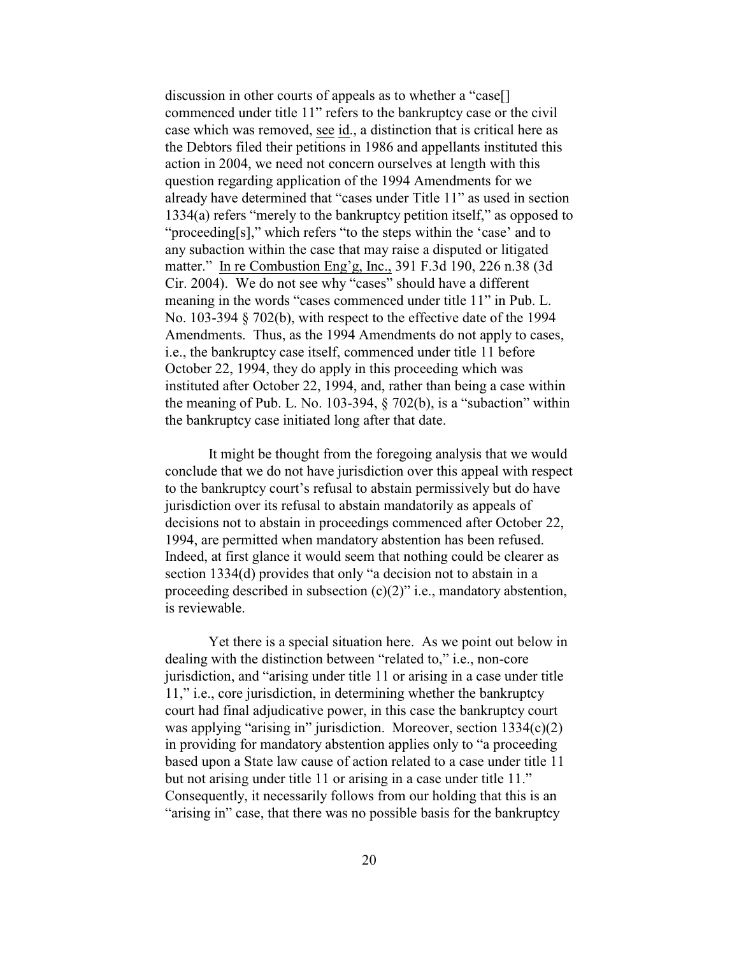discussion in other courts of appeals as to whether a "case[] commenced under title 11" refers to the bankruptcy case or the civil case which was removed, see id., a distinction that is critical here as the Debtors filed their petitions in 1986 and appellants instituted this action in 2004, we need not concern ourselves at length with this question regarding application of the 1994 Amendments for we already have determined that "cases under Title 11" as used in section 1334(a) refers "merely to the bankruptcy petition itself," as opposed to "proceeding[s]," which refers "to the steps within the 'case' and to any subaction within the case that may raise a disputed or litigated matter." In re Combustion Eng'g, Inc., 391 F.3d 190, 226 n.38 (3d Cir. 2004). We do not see why "cases" should have a different meaning in the words "cases commenced under title 11" in Pub. L. No. 103-394 § 702(b), with respect to the effective date of the 1994 Amendments. Thus, as the 1994 Amendments do not apply to cases, i.e., the bankruptcy case itself, commenced under title 11 before October 22, 1994, they do apply in this proceeding which was instituted after October 22, 1994, and, rather than being a case within the meaning of Pub. L. No. 103-394,  $\S$  702(b), is a "subaction" within the bankruptcy case initiated long after that date.

 It might be thought from the foregoing analysis that we would conclude that we do not have jurisdiction over this appeal with respect to the bankruptcy court's refusal to abstain permissively but do have jurisdiction over its refusal to abstain mandatorily as appeals of decisions not to abstain in proceedings commenced after October 22, 1994, are permitted when mandatory abstention has been refused. Indeed, at first glance it would seem that nothing could be clearer as section 1334(d) provides that only "a decision not to abstain in a proceeding described in subsection (c)(2)" i.e., mandatory abstention, is reviewable.

Yet there is a special situation here. As we point out below in dealing with the distinction between "related to," i.e., non-core jurisdiction, and "arising under title 11 or arising in a case under title 11," i.e., core jurisdiction, in determining whether the bankruptcy court had final adjudicative power, in this case the bankruptcy court was applying "arising in" jurisdiction. Moreover, section 1334(c)(2) in providing for mandatory abstention applies only to "a proceeding based upon a State law cause of action related to a case under title 11 but not arising under title 11 or arising in a case under title 11." Consequently, it necessarily follows from our holding that this is an "arising in" case, that there was no possible basis for the bankruptcy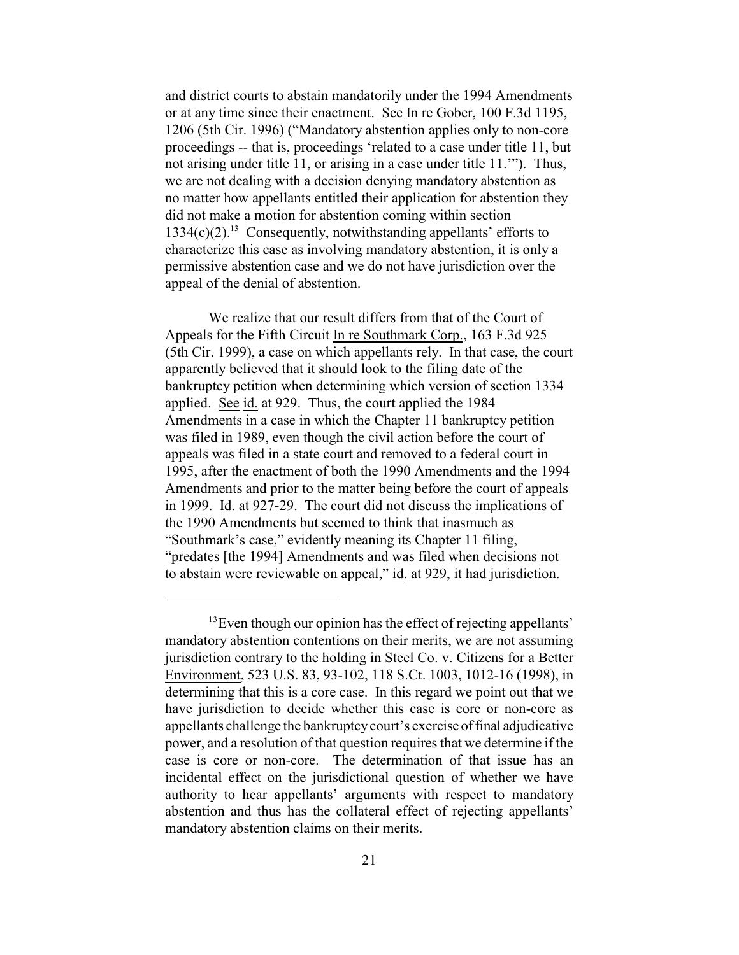and district courts to abstain mandatorily under the 1994 Amendments or at any time since their enactment. See In re Gober, 100 F.3d 1195, 1206 (5th Cir. 1996) ("Mandatory abstention applies only to non-core proceedings -- that is, proceedings 'related to a case under title 11, but not arising under title 11, or arising in a case under title 11.'"). Thus, we are not dealing with a decision denying mandatory abstention as no matter how appellants entitled their application for abstention they did not make a motion for abstention coming within section  $1334(c)(2).$ <sup>13</sup> Consequently, notwithstanding appellants' efforts to characterize this case as involving mandatory abstention, it is only a permissive abstention case and we do not have jurisdiction over the appeal of the denial of abstention.

We realize that our result differs from that of the Court of Appeals for the Fifth Circuit In re Southmark Corp., 163 F.3d 925 (5th Cir. 1999), a case on which appellants rely. In that case, the court apparently believed that it should look to the filing date of the bankruptcy petition when determining which version of section 1334 applied. See id. at 929. Thus, the court applied the 1984 Amendments in a case in which the Chapter 11 bankruptcy petition was filed in 1989, even though the civil action before the court of appeals was filed in a state court and removed to a federal court in 1995, after the enactment of both the 1990 Amendments and the 1994 Amendments and prior to the matter being before the court of appeals in 1999. Id. at 927-29. The court did not discuss the implications of the 1990 Amendments but seemed to think that inasmuch as "Southmark's case," evidently meaning its Chapter 11 filing, "predates [the 1994] Amendments and was filed when decisions not to abstain were reviewable on appeal," id. at 929, it had jurisdiction.

 $13$  Even though our opinion has the effect of rejecting appellants' mandatory abstention contentions on their merits, we are not assuming jurisdiction contrary to the holding in Steel Co. v. Citizens for a Better Environment, 523 U.S. 83, 93-102, 118 S.Ct. 1003, 1012-16 (1998), in determining that this is a core case. In this regard we point out that we have jurisdiction to decide whether this case is core or non-core as appellants challenge the bankruptcy court's exercise of final adjudicative power, and a resolution of that question requires that we determine if the case is core or non-core. The determination of that issue has an incidental effect on the jurisdictional question of whether we have authority to hear appellants' arguments with respect to mandatory abstention and thus has the collateral effect of rejecting appellants' mandatory abstention claims on their merits.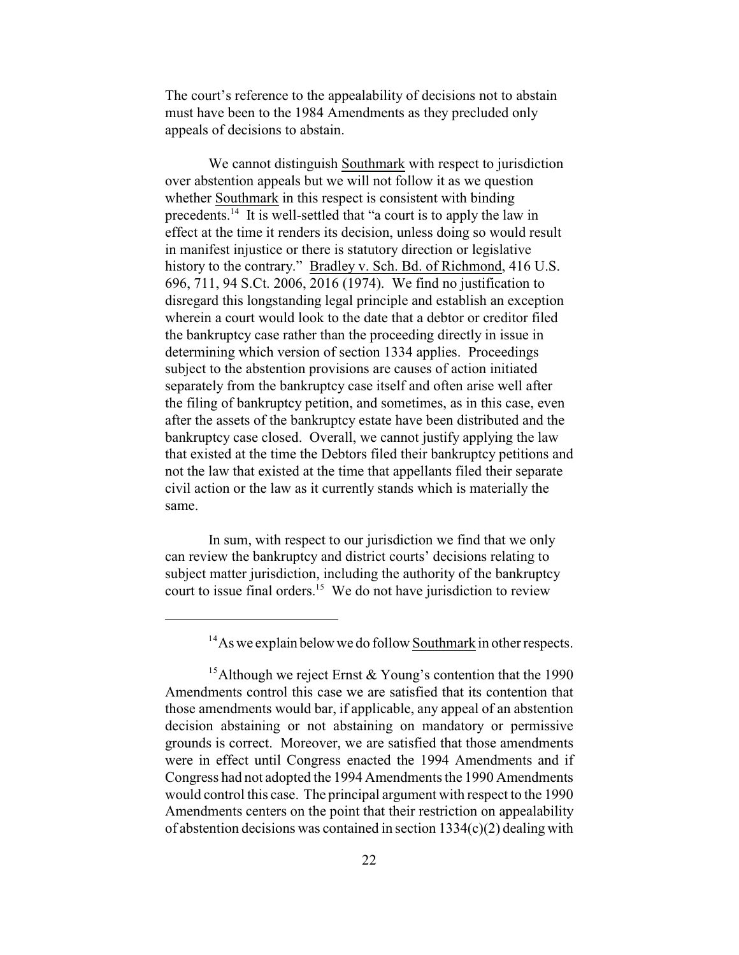The court's reference to the appealability of decisions not to abstain must have been to the 1984 Amendments as they precluded only appeals of decisions to abstain.

We cannot distinguish Southmark with respect to jurisdiction over abstention appeals but we will not follow it as we question whether Southmark in this respect is consistent with binding precedents.<sup>14</sup> It is well-settled that "a court is to apply the law in effect at the time it renders its decision, unless doing so would result in manifest injustice or there is statutory direction or legislative history to the contrary." Bradley v. Sch. Bd. of Richmond, 416 U.S. 696, 711, 94 S.Ct. 2006, 2016 (1974). We find no justification to disregard this longstanding legal principle and establish an exception wherein a court would look to the date that a debtor or creditor filed the bankruptcy case rather than the proceeding directly in issue in determining which version of section 1334 applies. Proceedings subject to the abstention provisions are causes of action initiated separately from the bankruptcy case itself and often arise well after the filing of bankruptcy petition, and sometimes, as in this case, even after the assets of the bankruptcy estate have been distributed and the bankruptcy case closed. Overall, we cannot justify applying the law that existed at the time the Debtors filed their bankruptcy petitions and not the law that existed at the time that appellants filed their separate civil action or the law as it currently stands which is materially the same.

In sum, with respect to our jurisdiction we find that we only can review the bankruptcy and district courts' decisions relating to subject matter jurisdiction, including the authority of the bankruptcy court to issue final orders. $15$  We do not have jurisdiction to review

 $14$ As we explain below we do follow Southmark in other respects.

<sup>&</sup>lt;sup>15</sup> Although we reject Ernst & Young's contention that the 1990 Amendments control this case we are satisfied that its contention that those amendments would bar, if applicable, any appeal of an abstention decision abstaining or not abstaining on mandatory or permissive grounds is correct. Moreover, we are satisfied that those amendments were in effect until Congress enacted the 1994 Amendments and if Congress had not adopted the 1994 Amendments the 1990 Amendments would control this case. The principal argument with respect to the 1990 Amendments centers on the point that their restriction on appealability of abstention decisions was contained in section 1334(c)(2) dealing with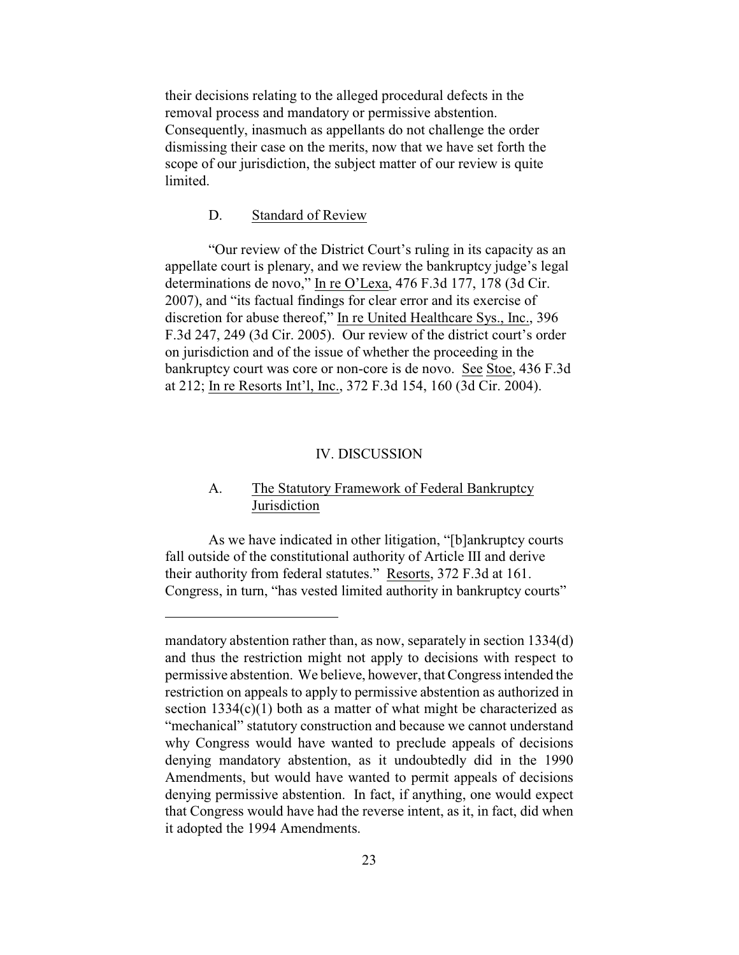their decisions relating to the alleged procedural defects in the removal process and mandatory or permissive abstention. Consequently, inasmuch as appellants do not challenge the order dismissing their case on the merits, now that we have set forth the scope of our jurisdiction, the subject matter of our review is quite limited.

## D. Standard of Review

"Our review of the District Court's ruling in its capacity as an appellate court is plenary, and we review the bankruptcy judge's legal determinations de novo," In re O'Lexa, 476 F.3d 177, 178 (3d Cir. 2007), and "its factual findings for clear error and its exercise of discretion for abuse thereof," In re United Healthcare Sys., Inc., 396 F.3d 247, 249 (3d Cir. 2005). Our review of the district court's order on jurisdiction and of the issue of whether the proceeding in the bankruptcy court was core or non-core is de novo. See Stoe, 436 F.3d at 212; In re Resorts Int'l, Inc., 372 F.3d 154, 160 (3d Cir. 2004).

#### IV. DISCUSSION

## A. The Statutory Framework of Federal Bankruptcy Jurisdiction

As we have indicated in other litigation, "[b]ankruptcy courts fall outside of the constitutional authority of Article III and derive their authority from federal statutes." Resorts, 372 F.3d at 161. Congress, in turn, "has vested limited authority in bankruptcy courts"

mandatory abstention rather than, as now, separately in section 1334(d) and thus the restriction might not apply to decisions with respect to permissive abstention. We believe, however, that Congress intended the restriction on appeals to apply to permissive abstention as authorized in section 1334(c)(1) both as a matter of what might be characterized as "mechanical" statutory construction and because we cannot understand why Congress would have wanted to preclude appeals of decisions denying mandatory abstention, as it undoubtedly did in the 1990 Amendments, but would have wanted to permit appeals of decisions denying permissive abstention. In fact, if anything, one would expect that Congress would have had the reverse intent, as it, in fact, did when it adopted the 1994 Amendments.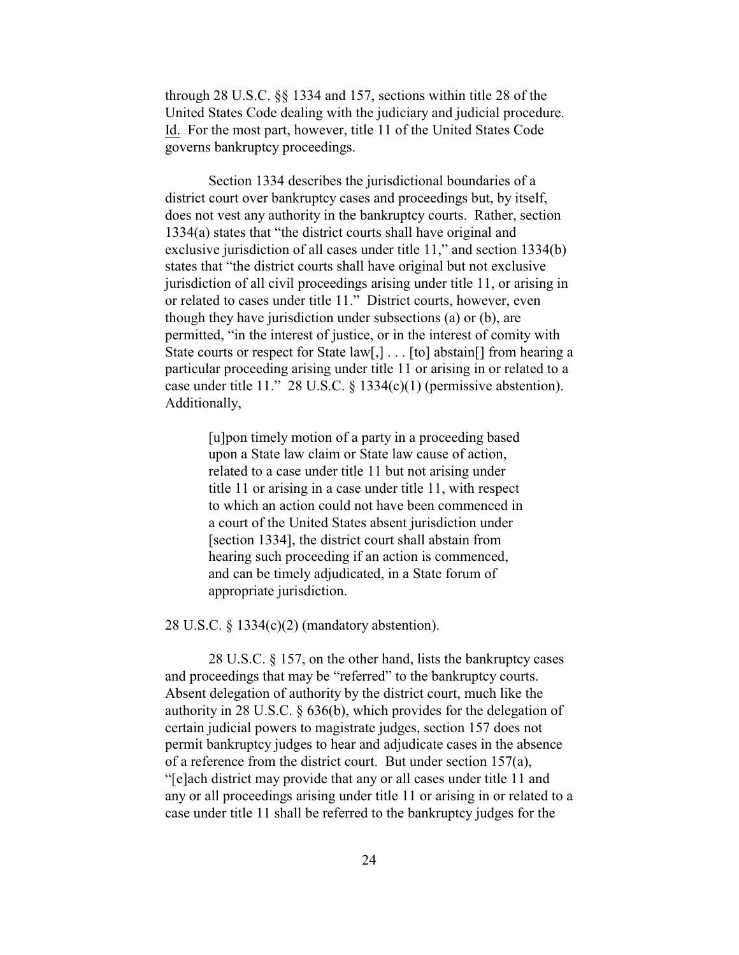through 28 U.S.C. §§ 1334 and 157, sections within title 28 of the United States Code dealing with the judiciary and judicial procedure. Id. For the most part, however, title 11 of the United States Code governs bankruptcy proceedings.

Section 1334 describes the jurisdictional boundaries of a district court over bankruptcy cases and proceedings but, by itself, does not vest any authority in the bankruptcy courts. Rather, section 1334(a) states that "the district courts shall have original and exclusive jurisdiction of all cases under title 11," and section 1334(b) states that "the district courts shall have original but not exclusive jurisdiction of all civil proceedings arising under title 11, or arising in or related to cases under title 11." District courts, however, even though they have jurisdiction under subsections (a) or (b), are permitted, "in the interest of justice, or in the interest of comity with State courts or respect for State law[,]... [to] abstain[] from hearing a particular proceeding arising under title 11 or arising in or related to a case under title 11." 28 U.S.C. § 1334(c)(1) (permissive abstention). Additionally,

> [u]pon timely motion of a party in a proceeding based upon a State law claim or State law cause of action, related to a case under title 11 but not arising under title 11 or arising in a case under title 11, with respect to which an action could not have been commenced in a court of the United States absent jurisdiction under [section 1334], the district court shall abstain from hearing such proceeding if an action is commenced, and can be timely adjudicated, in a State forum of appropriate jurisdiction.

28 U.S.C. § 1334(c)(2) (mandatory abstention).

28 U.S.C. § 157, on the other hand, lists the bankruptcy cases and proceedings that may be "referred" to the bankruptcy courts. Absent delegation of authority by the district court, much like the authority in 28 U.S.C. § 636(b), which provides for the delegation of certain judicial powers to magistrate judges, section 157 does not permit bankruptcy judges to hear and adjudicate cases in the absence of a reference from the district court. But under section 157(a), "[e]ach district may provide that any or all cases under title 11 and any or all proceedings arising under title 11 or arising in or related to a case under title 11 shall be referred to the bankruptcy judges for the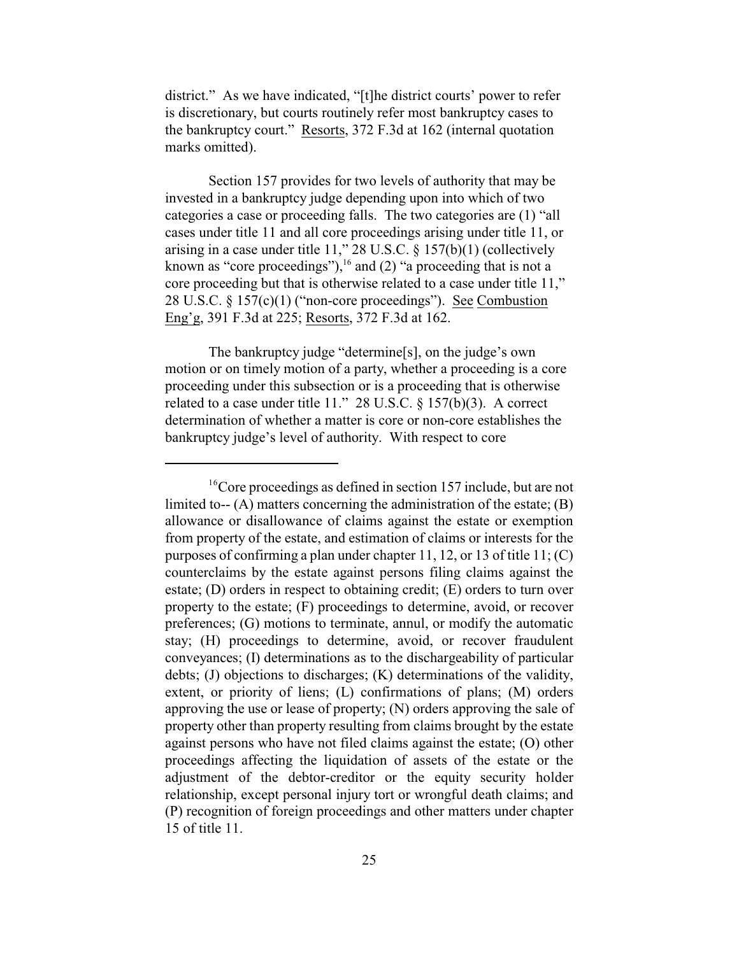district." As we have indicated, "[t]he district courts' power to refer is discretionary, but courts routinely refer most bankruptcy cases to the bankruptcy court." Resorts, 372 F.3d at 162 (internal quotation marks omitted).

Section 157 provides for two levels of authority that may be invested in a bankruptcy judge depending upon into which of two categories a case or proceeding falls. The two categories are (1) "all cases under title 11 and all core proceedings arising under title 11, or arising in a case under title 11," 28 U.S.C.  $\S$  157(b)(1) (collectively known as "core proceedings"),  $\frac{1}{6}$  and (2) "a proceeding that is not a core proceeding but that is otherwise related to a case under title 11," 28 U.S.C. § 157(c)(1) ("non-core proceedings"). See Combustion Eng'g, 391 F.3d at 225; Resorts, 372 F.3d at 162.

The bankruptcy judge "determine[s], on the judge's own motion or on timely motion of a party, whether a proceeding is a core proceeding under this subsection or is a proceeding that is otherwise related to a case under title 11." 28 U.S.C. § 157(b)(3). A correct determination of whether a matter is core or non-core establishes the bankruptcy judge's level of authority. With respect to core

 $16$ <sup>o</sup>Core proceedings as defined in section 157 include, but are not limited to- $(A)$  matters concerning the administration of the estate;  $(B)$ allowance or disallowance of claims against the estate or exemption from property of the estate, and estimation of claims or interests for the purposes of confirming a plan under chapter 11, 12, or 13 of title 11; (C) counterclaims by the estate against persons filing claims against the estate; (D) orders in respect to obtaining credit; (E) orders to turn over property to the estate; (F) proceedings to determine, avoid, or recover preferences; (G) motions to terminate, annul, or modify the automatic stay; (H) proceedings to determine, avoid, or recover fraudulent conveyances; (I) determinations as to the dischargeability of particular debts; (J) objections to discharges; (K) determinations of the validity, extent, or priority of liens; (L) confirmations of plans; (M) orders approving the use or lease of property; (N) orders approving the sale of property other than property resulting from claims brought by the estate against persons who have not filed claims against the estate; (O) other proceedings affecting the liquidation of assets of the estate or the adjustment of the debtor-creditor or the equity security holder relationship, except personal injury tort or wrongful death claims; and (P) recognition of foreign proceedings and other matters under chapter 15 of title 11.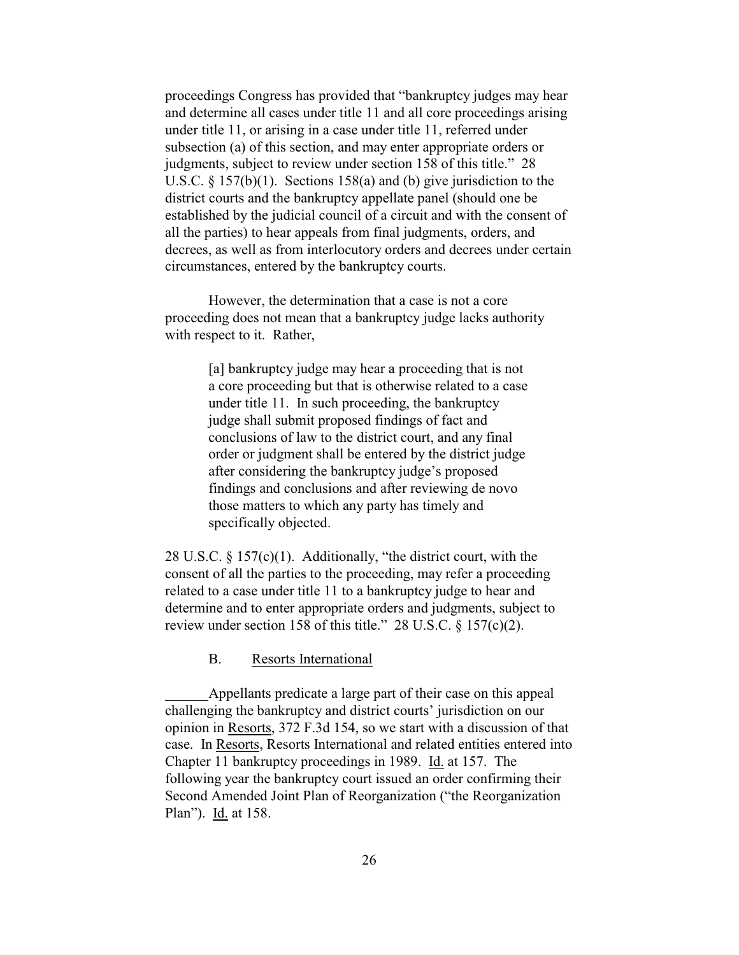proceedings Congress has provided that "bankruptcy judges may hear and determine all cases under title 11 and all core proceedings arising under title 11, or arising in a case under title 11, referred under subsection (a) of this section, and may enter appropriate orders or judgments, subject to review under section 158 of this title." 28 U.S.C. § 157(b)(1). Sections 158(a) and (b) give jurisdiction to the district courts and the bankruptcy appellate panel (should one be established by the judicial council of a circuit and with the consent of all the parties) to hear appeals from final judgments, orders, and decrees, as well as from interlocutory orders and decrees under certain circumstances, entered by the bankruptcy courts.

However, the determination that a case is not a core proceeding does not mean that a bankruptcy judge lacks authority with respect to it. Rather,

> [a] bankruptcy judge may hear a proceeding that is not a core proceeding but that is otherwise related to a case under title 11. In such proceeding, the bankruptcy judge shall submit proposed findings of fact and conclusions of law to the district court, and any final order or judgment shall be entered by the district judge after considering the bankruptcy judge's proposed findings and conclusions and after reviewing de novo those matters to which any party has timely and specifically objected.

28 U.S.C. § 157(c)(1). Additionally, "the district court, with the consent of all the parties to the proceeding, may refer a proceeding related to a case under title 11 to a bankruptcy judge to hear and determine and to enter appropriate orders and judgments, subject to review under section 158 of this title." 28 U.S.C. § 157(c)(2).

B. Resorts International

Appellants predicate a large part of their case on this appeal challenging the bankruptcy and district courts' jurisdiction on our opinion in Resorts, 372 F.3d 154, so we start with a discussion of that case. In Resorts, Resorts International and related entities entered into Chapter 11 bankruptcy proceedings in 1989. Id. at 157. The following year the bankruptcy court issued an order confirming their Second Amended Joint Plan of Reorganization ("the Reorganization Plan"). Id. at 158.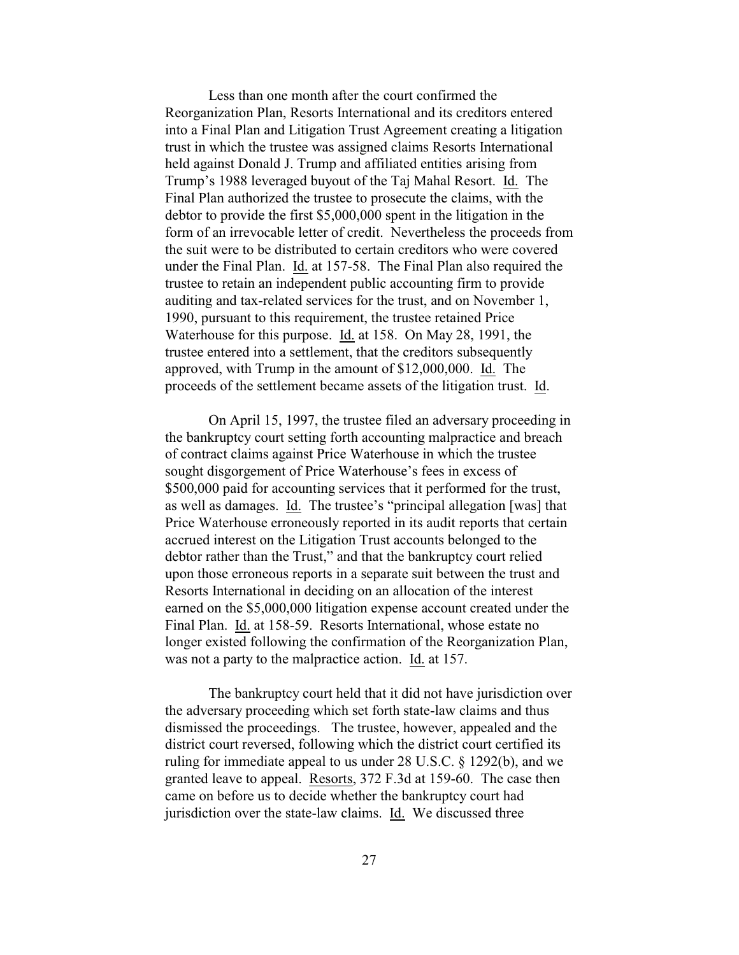Less than one month after the court confirmed the Reorganization Plan, Resorts International and its creditors entered into a Final Plan and Litigation Trust Agreement creating a litigation trust in which the trustee was assigned claims Resorts International held against Donald J. Trump and affiliated entities arising from Trump's 1988 leveraged buyout of the Taj Mahal Resort. Id. The Final Plan authorized the trustee to prosecute the claims, with the debtor to provide the first \$5,000,000 spent in the litigation in the form of an irrevocable letter of credit. Nevertheless the proceeds from the suit were to be distributed to certain creditors who were covered under the Final Plan. Id. at 157-58. The Final Plan also required the trustee to retain an independent public accounting firm to provide auditing and tax-related services for the trust, and on November 1, 1990, pursuant to this requirement, the trustee retained Price Waterhouse for this purpose. Id. at 158. On May 28, 1991, the trustee entered into a settlement, that the creditors subsequently approved, with Trump in the amount of \$12,000,000. Id. The proceeds of the settlement became assets of the litigation trust. Id.

On April 15, 1997, the trustee filed an adversary proceeding in the bankruptcy court setting forth accounting malpractice and breach of contract claims against Price Waterhouse in which the trustee sought disgorgement of Price Waterhouse's fees in excess of \$500,000 paid for accounting services that it performed for the trust, as well as damages. Id. The trustee's "principal allegation [was] that Price Waterhouse erroneously reported in its audit reports that certain accrued interest on the Litigation Trust accounts belonged to the debtor rather than the Trust," and that the bankruptcy court relied upon those erroneous reports in a separate suit between the trust and Resorts International in deciding on an allocation of the interest earned on the \$5,000,000 litigation expense account created under the Final Plan. Id. at 158-59. Resorts International, whose estate no longer existed following the confirmation of the Reorganization Plan, was not a party to the malpractice action. Id. at 157.

The bankruptcy court held that it did not have jurisdiction over the adversary proceeding which set forth state-law claims and thus dismissed the proceedings. The trustee, however, appealed and the district court reversed, following which the district court certified its ruling for immediate appeal to us under 28 U.S.C. § 1292(b), and we granted leave to appeal. Resorts, 372 F.3d at 159-60. The case then came on before us to decide whether the bankruptcy court had jurisdiction over the state-law claims. Id. We discussed three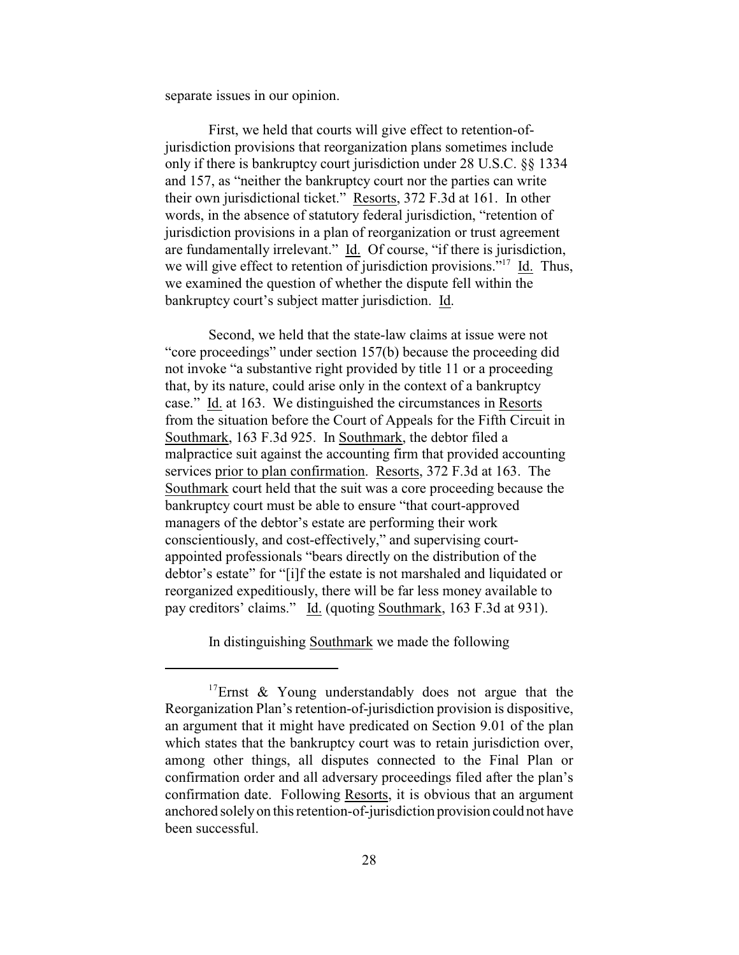separate issues in our opinion.

First, we held that courts will give effect to retention-ofjurisdiction provisions that reorganization plans sometimes include only if there is bankruptcy court jurisdiction under 28 U.S.C. §§ 1334 and 157, as "neither the bankruptcy court nor the parties can write their own jurisdictional ticket." Resorts, 372 F.3d at 161. In other words, in the absence of statutory federal jurisdiction, "retention of jurisdiction provisions in a plan of reorganization or trust agreement are fundamentally irrelevant." Id. Of course, "if there is jurisdiction, we will give effect to retention of jurisdiction provisions."<sup>17</sup> Id. Thus, we examined the question of whether the dispute fell within the bankruptcy court's subject matter jurisdiction. Id.

Second, we held that the state-law claims at issue were not "core proceedings" under section 157(b) because the proceeding did not invoke "a substantive right provided by title 11 or a proceeding that, by its nature, could arise only in the context of a bankruptcy case." Id. at 163. We distinguished the circumstances in Resorts from the situation before the Court of Appeals for the Fifth Circuit in Southmark, 163 F.3d 925. In Southmark, the debtor filed a malpractice suit against the accounting firm that provided accounting services prior to plan confirmation. Resorts, 372 F.3d at 163. The Southmark court held that the suit was a core proceeding because the bankruptcy court must be able to ensure "that court-approved managers of the debtor's estate are performing their work conscientiously, and cost-effectively," and supervising courtappointed professionals "bears directly on the distribution of the debtor's estate" for "[i]f the estate is not marshaled and liquidated or reorganized expeditiously, there will be far less money available to pay creditors' claims." Id. (quoting Southmark, 163 F.3d at 931).

In distinguishing Southmark we made the following

<sup>&</sup>lt;sup>17</sup>Ernst & Young understandably does not argue that the Reorganization Plan's retention-of-jurisdiction provision is dispositive, an argument that it might have predicated on Section 9.01 of the plan which states that the bankruptcy court was to retain jurisdiction over, among other things, all disputes connected to the Final Plan or confirmation order and all adversary proceedings filed after the plan's confirmation date. Following Resorts, it is obvious that an argument anchored solely on this retention-of-jurisdiction provision could not have been successful.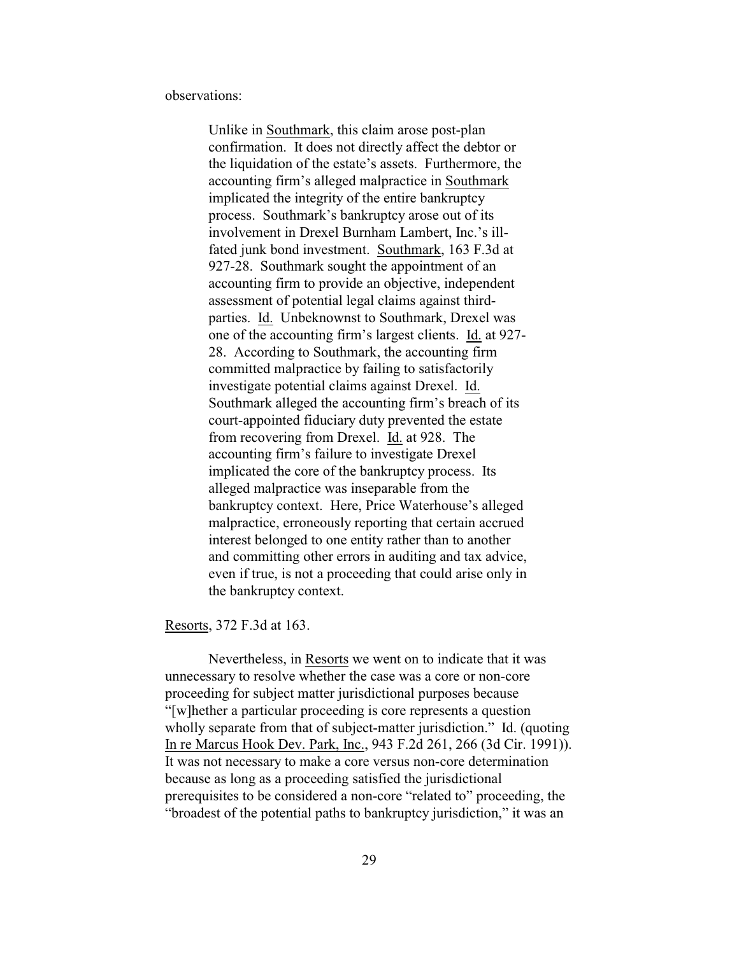observations:

Unlike in Southmark, this claim arose post-plan confirmation. It does not directly affect the debtor or the liquidation of the estate's assets. Furthermore, the accounting firm's alleged malpractice in Southmark implicated the integrity of the entire bankruptcy process. Southmark's bankruptcy arose out of its involvement in Drexel Burnham Lambert, Inc.'s illfated junk bond investment. Southmark, 163 F.3d at 927-28. Southmark sought the appointment of an accounting firm to provide an objective, independent assessment of potential legal claims against thirdparties. Id. Unbeknownst to Southmark, Drexel was one of the accounting firm's largest clients. Id. at 927- 28. According to Southmark, the accounting firm committed malpractice by failing to satisfactorily investigate potential claims against Drexel. Id. Southmark alleged the accounting firm's breach of its court-appointed fiduciary duty prevented the estate from recovering from Drexel. Id. at 928. The accounting firm's failure to investigate Drexel implicated the core of the bankruptcy process. Its alleged malpractice was inseparable from the bankruptcy context. Here, Price Waterhouse's alleged malpractice, erroneously reporting that certain accrued interest belonged to one entity rather than to another and committing other errors in auditing and tax advice, even if true, is not a proceeding that could arise only in the bankruptcy context.

Resorts, 372 F.3d at 163.

Nevertheless, in Resorts we went on to indicate that it was unnecessary to resolve whether the case was a core or non-core proceeding for subject matter jurisdictional purposes because "[w]hether a particular proceeding is core represents a question wholly separate from that of subject-matter jurisdiction." Id. (quoting In re Marcus Hook Dev. Park, Inc., 943 F.2d 261, 266 (3d Cir. 1991)). It was not necessary to make a core versus non-core determination because as long as a proceeding satisfied the jurisdictional prerequisites to be considered a non-core "related to" proceeding, the "broadest of the potential paths to bankruptcy jurisdiction," it was an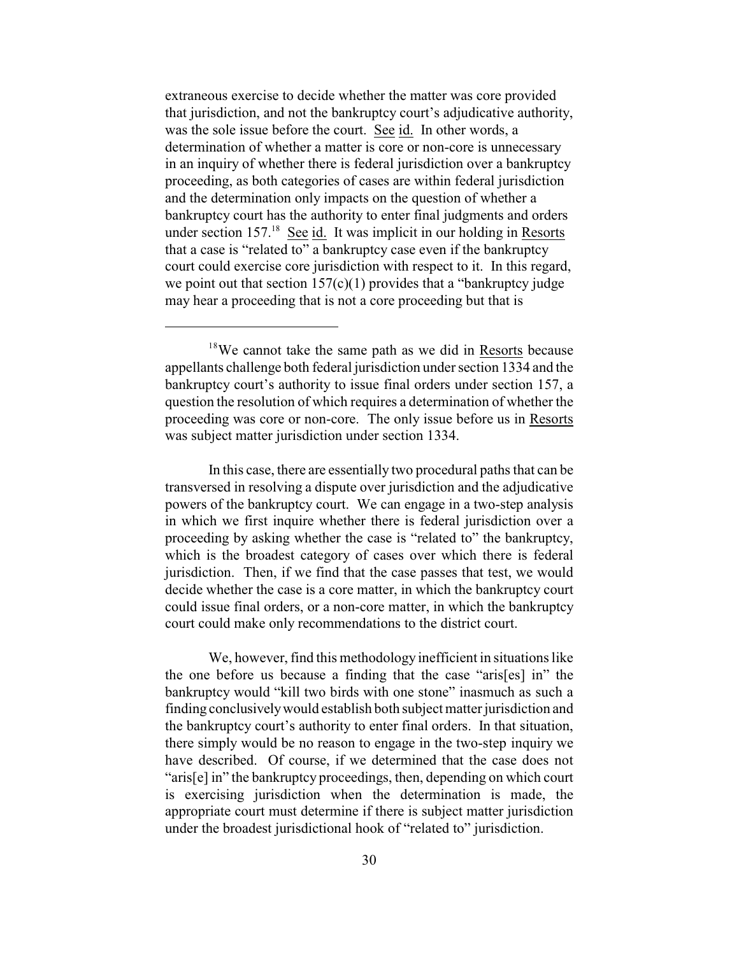extraneous exercise to decide whether the matter was core provided that jurisdiction, and not the bankruptcy court's adjudicative authority, was the sole issue before the court. See id. In other words, a determination of whether a matter is core or non-core is unnecessary in an inquiry of whether there is federal jurisdiction over a bankruptcy proceeding, as both categories of cases are within federal jurisdiction and the determination only impacts on the question of whether a bankruptcy court has the authority to enter final judgments and orders under section 157.<sup>18</sup> See id. It was implicit in our holding in Resorts that a case is "related to" a bankruptcy case even if the bankruptcy court could exercise core jurisdiction with respect to it. In this regard, we point out that section  $157(c)(1)$  provides that a "bankruptcy judge may hear a proceeding that is not a core proceeding but that is

In this case, there are essentially two procedural paths that can be transversed in resolving a dispute over jurisdiction and the adjudicative powers of the bankruptcy court. We can engage in a two-step analysis in which we first inquire whether there is federal jurisdiction over a proceeding by asking whether the case is "related to" the bankruptcy, which is the broadest category of cases over which there is federal jurisdiction. Then, if we find that the case passes that test, we would decide whether the case is a core matter, in which the bankruptcy court could issue final orders, or a non-core matter, in which the bankruptcy court could make only recommendations to the district court.

We, however, find this methodology inefficient in situations like the one before us because a finding that the case "aris[es] in" the bankruptcy would "kill two birds with one stone" inasmuch as such a finding conclusively would establish both subject matter jurisdiction and the bankruptcy court's authority to enter final orders. In that situation, there simply would be no reason to engage in the two-step inquiry we have described. Of course, if we determined that the case does not "aris[e] in" the bankruptcy proceedings, then, depending on which court is exercising jurisdiction when the determination is made, the appropriate court must determine if there is subject matter jurisdiction under the broadest jurisdictional hook of "related to" jurisdiction.

 $18$ We cannot take the same path as we did in Resorts because appellants challenge both federal jurisdiction under section 1334 and the bankruptcy court's authority to issue final orders under section 157, a question the resolution of which requires a determination of whether the proceeding was core or non-core. The only issue before us in Resorts was subject matter jurisdiction under section 1334.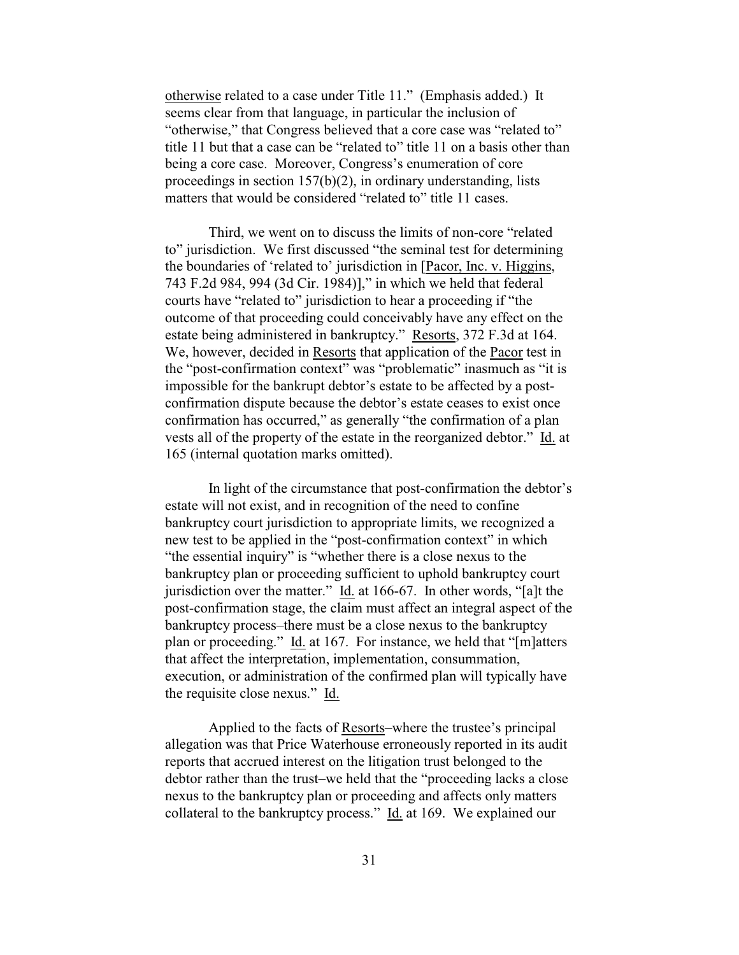otherwise related to a case under Title 11." (Emphasis added.) It seems clear from that language, in particular the inclusion of "otherwise," that Congress believed that a core case was "related to" title 11 but that a case can be "related to" title 11 on a basis other than being a core case. Moreover, Congress's enumeration of core proceedings in section 157(b)(2), in ordinary understanding, lists matters that would be considered "related to" title 11 cases.

Third, we went on to discuss the limits of non-core "related to" jurisdiction. We first discussed "the seminal test for determining the boundaries of 'related to' jurisdiction in [Pacor, Inc. v. Higgins, 743 F.2d 984, 994 (3d Cir. 1984)]," in which we held that federal courts have "related to" jurisdiction to hear a proceeding if "the outcome of that proceeding could conceivably have any effect on the estate being administered in bankruptcy." Resorts, 372 F.3d at 164. We, however, decided in Resorts that application of the Pacor test in the "post-confirmation context" was "problematic" inasmuch as "it is impossible for the bankrupt debtor's estate to be affected by a postconfirmation dispute because the debtor's estate ceases to exist once confirmation has occurred," as generally "the confirmation of a plan vests all of the property of the estate in the reorganized debtor." Id. at 165 (internal quotation marks omitted).

In light of the circumstance that post-confirmation the debtor's estate will not exist, and in recognition of the need to confine bankruptcy court jurisdiction to appropriate limits, we recognized a new test to be applied in the "post-confirmation context" in which "the essential inquiry" is "whether there is a close nexus to the bankruptcy plan or proceeding sufficient to uphold bankruptcy court jurisdiction over the matter." Id. at 166-67. In other words, "[a]t the post-confirmation stage, the claim must affect an integral aspect of the bankruptcy process–there must be a close nexus to the bankruptcy plan or proceeding." Id. at 167. For instance, we held that "[m]atters that affect the interpretation, implementation, consummation, execution, or administration of the confirmed plan will typically have the requisite close nexus." Id.

Applied to the facts of Resorts–where the trustee's principal allegation was that Price Waterhouse erroneously reported in its audit reports that accrued interest on the litigation trust belonged to the debtor rather than the trust–we held that the "proceeding lacks a close nexus to the bankruptcy plan or proceeding and affects only matters collateral to the bankruptcy process." Id. at 169. We explained our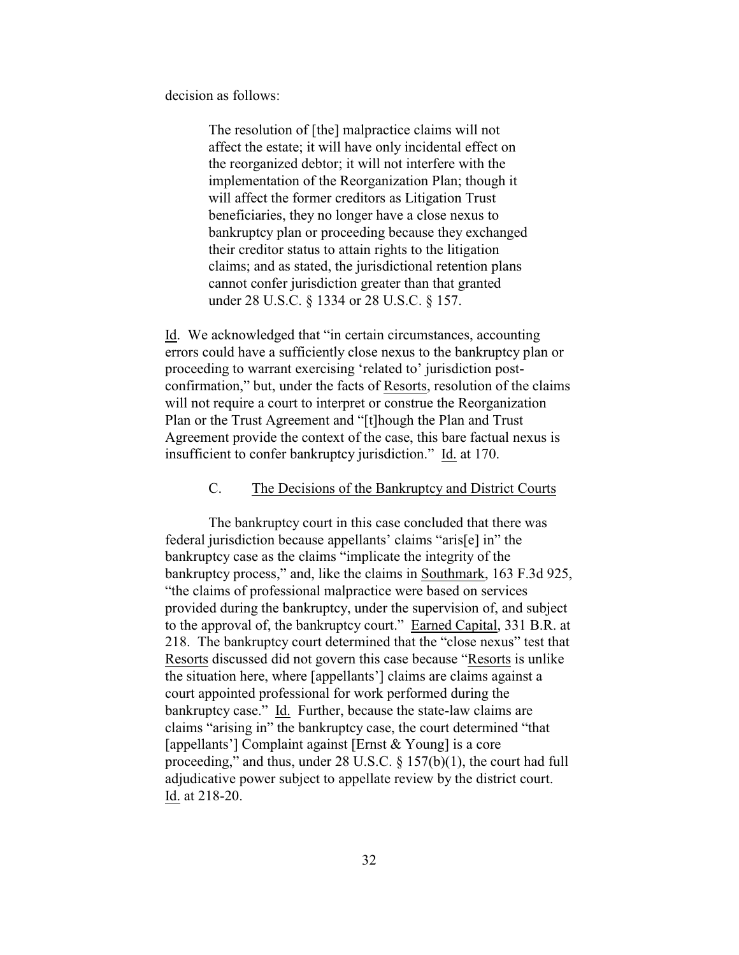decision as follows:

The resolution of [the] malpractice claims will not affect the estate; it will have only incidental effect on the reorganized debtor; it will not interfere with the implementation of the Reorganization Plan; though it will affect the former creditors as Litigation Trust beneficiaries, they no longer have a close nexus to bankruptcy plan or proceeding because they exchanged their creditor status to attain rights to the litigation claims; and as stated, the jurisdictional retention plans cannot confer jurisdiction greater than that granted under 28 U.S.C. § 1334 or 28 U.S.C. § 157.

Id. We acknowledged that "in certain circumstances, accounting errors could have a sufficiently close nexus to the bankruptcy plan or proceeding to warrant exercising 'related to' jurisdiction postconfirmation," but, under the facts of Resorts, resolution of the claims will not require a court to interpret or construe the Reorganization Plan or the Trust Agreement and "[t]hough the Plan and Trust Agreement provide the context of the case, this bare factual nexus is insufficient to confer bankruptcy jurisdiction." Id. at 170.

#### C. The Decisions of the Bankruptcy and District Courts

The bankruptcy court in this case concluded that there was federal jurisdiction because appellants' claims "aris[e] in" the bankruptcy case as the claims "implicate the integrity of the bankruptcy process," and, like the claims in Southmark, 163 F.3d 925, "the claims of professional malpractice were based on services provided during the bankruptcy, under the supervision of, and subject to the approval of, the bankruptcy court." Earned Capital, 331 B.R. at 218. The bankruptcy court determined that the "close nexus" test that Resorts discussed did not govern this case because "Resorts is unlike the situation here, where [appellants'] claims are claims against a court appointed professional for work performed during the bankruptcy case." Id. Further, because the state-law claims are claims "arising in" the bankruptcy case, the court determined "that [appellants'] Complaint against [Ernst & Young] is a core proceeding," and thus, under 28 U.S.C. § 157(b)(1), the court had full adjudicative power subject to appellate review by the district court. Id. at 218-20.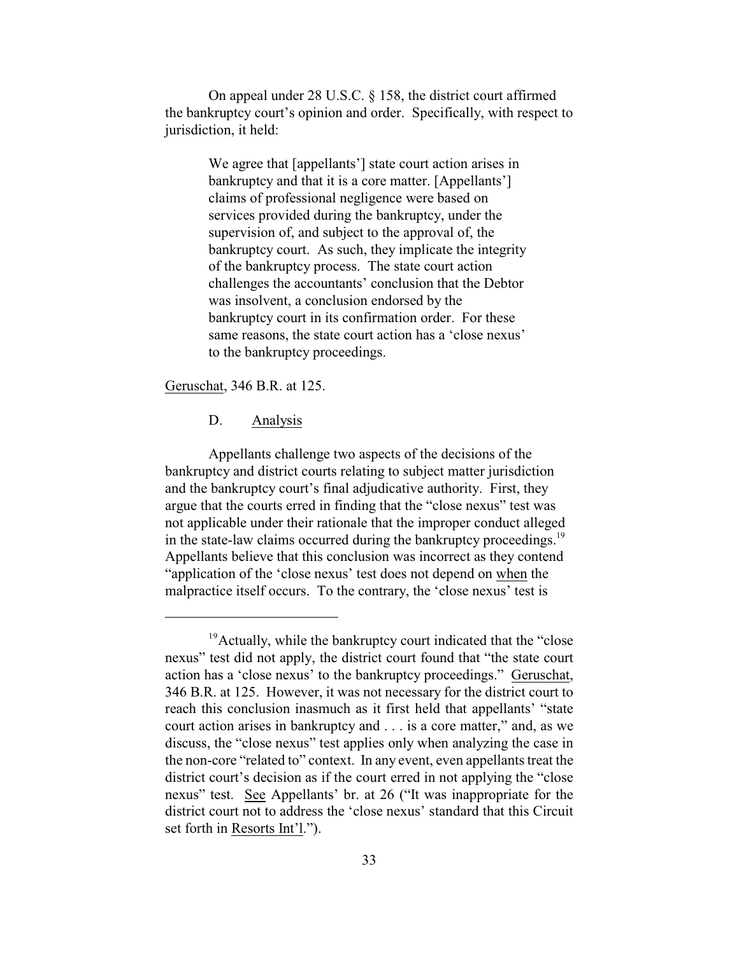On appeal under 28 U.S.C. § 158, the district court affirmed the bankruptcy court's opinion and order. Specifically, with respect to jurisdiction, it held:

> We agree that [appellants'] state court action arises in bankruptcy and that it is a core matter. [Appellants'] claims of professional negligence were based on services provided during the bankruptcy, under the supervision of, and subject to the approval of, the bankruptcy court. As such, they implicate the integrity of the bankruptcy process. The state court action challenges the accountants' conclusion that the Debtor was insolvent, a conclusion endorsed by the bankruptcy court in its confirmation order. For these same reasons, the state court action has a 'close nexus' to the bankruptcy proceedings.

Geruschat, 346 B.R. at 125.

## D. Analysis

Appellants challenge two aspects of the decisions of the bankruptcy and district courts relating to subject matter jurisdiction and the bankruptcy court's final adjudicative authority. First, they argue that the courts erred in finding that the "close nexus" test was not applicable under their rationale that the improper conduct alleged in the state-law claims occurred during the bankruptcy proceedings.<sup>19</sup> Appellants believe that this conclusion was incorrect as they contend "application of the 'close nexus' test does not depend on when the malpractice itself occurs. To the contrary, the 'close nexus' test is

<sup>&</sup>lt;sup>19</sup> Actually, while the bankruptcy court indicated that the "close nexus" test did not apply, the district court found that "the state court action has a 'close nexus' to the bankruptcy proceedings." Geruschat, 346 B.R. at 125. However, it was not necessary for the district court to reach this conclusion inasmuch as it first held that appellants' "state court action arises in bankruptcy and . . . is a core matter," and, as we discuss, the "close nexus" test applies only when analyzing the case in the non-core "related to" context. In any event, even appellants treat the district court's decision as if the court erred in not applying the "close nexus" test. See Appellants' br. at 26 ("It was inappropriate for the district court not to address the 'close nexus' standard that this Circuit set forth in Resorts Int'l.").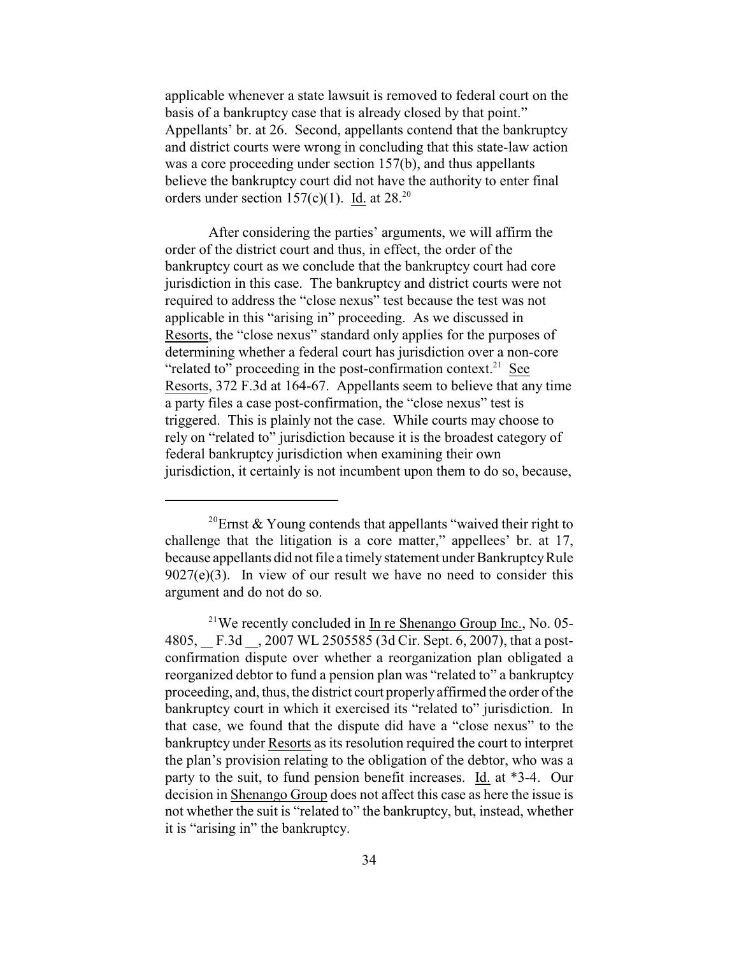applicable whenever a state lawsuit is removed to federal court on the basis of a bankruptcy case that is already closed by that point." Appellants' br. at 26. Second, appellants contend that the bankruptcy and district courts were wrong in concluding that this state-law action was a core proceeding under section 157(b), and thus appellants believe the bankruptcy court did not have the authority to enter final orders under section 157(c)(1). Id. at  $28.^{20}$ 

After considering the parties' arguments, we will affirm the order of the district court and thus, in effect, the order of the bankruptcy court as we conclude that the bankruptcy court had core jurisdiction in this case. The bankruptcy and district courts were not required to address the "close nexus" test because the test was not applicable in this "arising in" proceeding. As we discussed in Resorts, the "close nexus" standard only applies for the purposes of determining whether a federal court has jurisdiction over a non-core "related to" proceeding in the post-confirmation context. $21$  See Resorts, 372 F.3d at 164-67. Appellants seem to believe that any time a party files a case post-confirmation, the "close nexus" test is triggered. This is plainly not the case. While courts may choose to rely on "related to" jurisdiction because it is the broadest category of federal bankruptcy jurisdiction when examining their own jurisdiction, it certainly is not incumbent upon them to do so, because,

<sup>&</sup>lt;sup>20</sup>Ernst & Young contends that appellants "waived their right to challenge that the litigation is a core matter," appellees' br. at 17, because appellants did not file a timely statement under Bankruptcy Rule  $9027(e)(3)$ . In view of our result we have no need to consider this argument and do not do so.

 $21$ We recently concluded in In re Shenango Group Inc., No. 05-4805, F.3d , 2007 WL 2505585 (3d Cir. Sept. 6, 2007), that a postconfirmation dispute over whether a reorganization plan obligated a reorganized debtor to fund a pension plan was "related to" a bankruptcy proceeding, and, thus, the district court properlyaffirmed the order of the bankruptcy court in which it exercised its "related to" jurisdiction. In that case, we found that the dispute did have a "close nexus" to the bankruptcy under Resorts as its resolution required the court to interpret the plan's provision relating to the obligation of the debtor, who was a party to the suit, to fund pension benefit increases. Id. at \*3-4. Our decision in Shenango Group does not affect this case as here the issue is not whether the suit is "related to" the bankruptcy, but, instead, whether it is "arising in" the bankruptcy.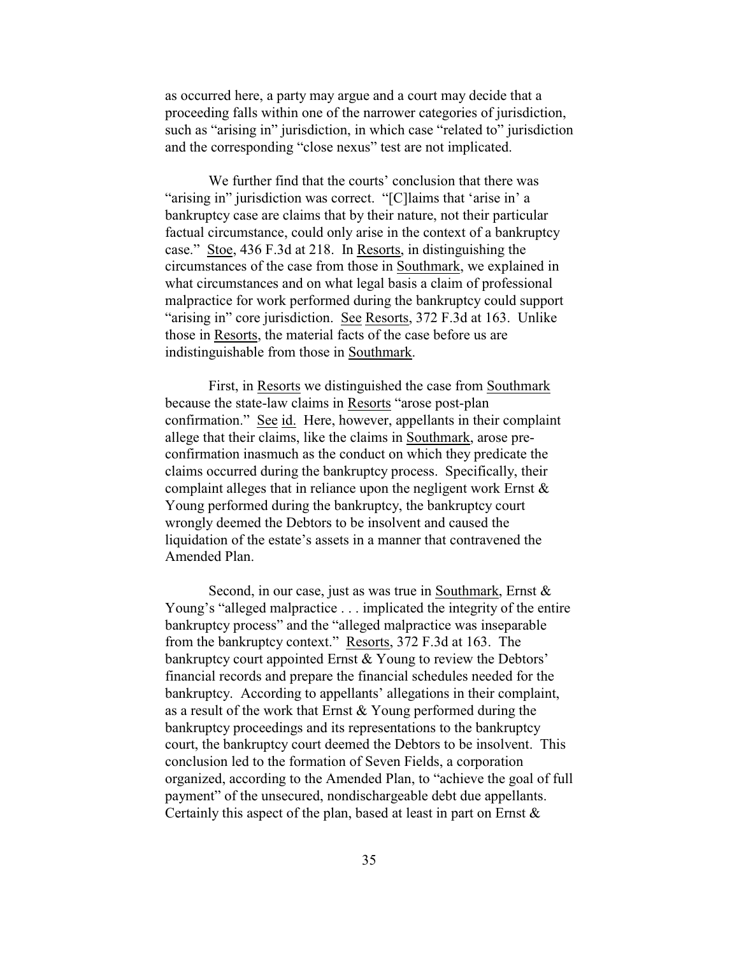as occurred here, a party may argue and a court may decide that a proceeding falls within one of the narrower categories of jurisdiction, such as "arising in" jurisdiction, in which case "related to" jurisdiction and the corresponding "close nexus" test are not implicated.

We further find that the courts' conclusion that there was "arising in" jurisdiction was correct. "[C]laims that 'arise in' a bankruptcy case are claims that by their nature, not their particular factual circumstance, could only arise in the context of a bankruptcy case." Stoe, 436 F.3d at 218. In Resorts, in distinguishing the circumstances of the case from those in Southmark, we explained in what circumstances and on what legal basis a claim of professional malpractice for work performed during the bankruptcy could support "arising in" core jurisdiction. See Resorts, 372 F.3d at 163. Unlike those in Resorts, the material facts of the case before us are indistinguishable from those in Southmark.

First, in Resorts we distinguished the case from Southmark because the state-law claims in Resorts "arose post-plan confirmation." See id. Here, however, appellants in their complaint allege that their claims, like the claims in Southmark, arose preconfirmation inasmuch as the conduct on which they predicate the claims occurred during the bankruptcy process. Specifically, their complaint alleges that in reliance upon the negligent work Ernst & Young performed during the bankruptcy, the bankruptcy court wrongly deemed the Debtors to be insolvent and caused the liquidation of the estate's assets in a manner that contravened the Amended Plan.

Second, in our case, just as was true in Southmark, Ernst & Young's "alleged malpractice . . . implicated the integrity of the entire bankruptcy process" and the "alleged malpractice was inseparable from the bankruptcy context." Resorts, 372 F.3d at 163. The bankruptcy court appointed Ernst & Young to review the Debtors' financial records and prepare the financial schedules needed for the bankruptcy. According to appellants' allegations in their complaint, as a result of the work that Ernst & Young performed during the bankruptcy proceedings and its representations to the bankruptcy court, the bankruptcy court deemed the Debtors to be insolvent. This conclusion led to the formation of Seven Fields, a corporation organized, according to the Amended Plan, to "achieve the goal of full payment" of the unsecured, nondischargeable debt due appellants. Certainly this aspect of the plan, based at least in part on Ernst  $\&$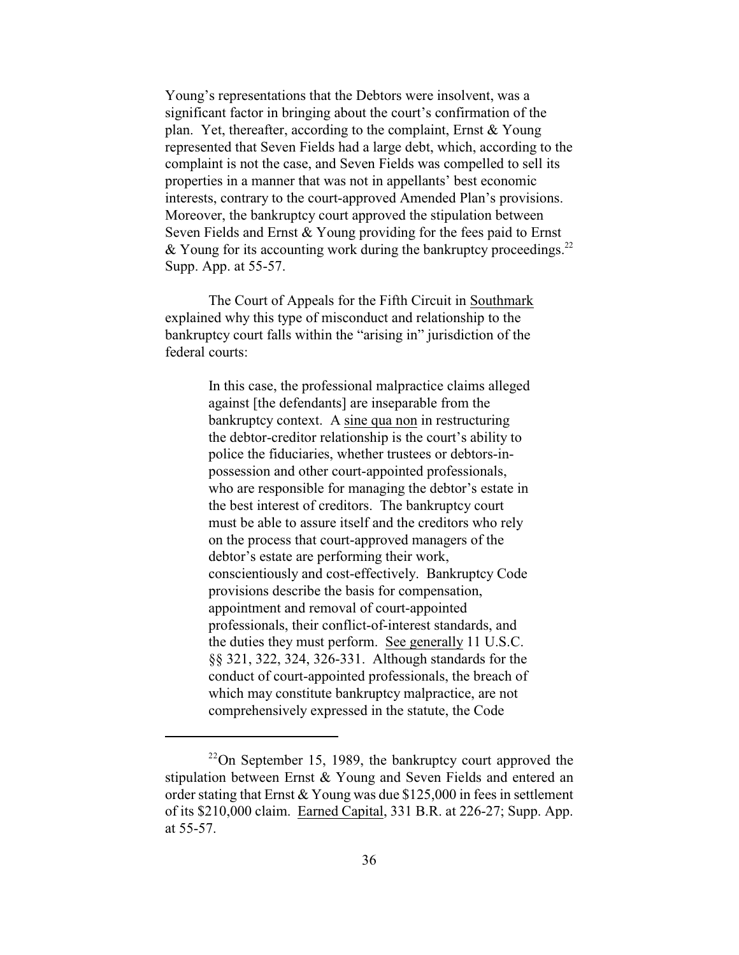Young's representations that the Debtors were insolvent, was a significant factor in bringing about the court's confirmation of the plan. Yet, thereafter, according to the complaint, Ernst & Young represented that Seven Fields had a large debt, which, according to the complaint is not the case, and Seven Fields was compelled to sell its properties in a manner that was not in appellants' best economic interests, contrary to the court-approved Amended Plan's provisions. Moreover, the bankruptcy court approved the stipulation between Seven Fields and Ernst & Young providing for the fees paid to Ernst & Young for its accounting work during the bankruptcy proceedings.<sup>22</sup> Supp. App. at 55-57.

The Court of Appeals for the Fifth Circuit in Southmark explained why this type of misconduct and relationship to the bankruptcy court falls within the "arising in" jurisdiction of the federal courts:

> In this case, the professional malpractice claims alleged against [the defendants] are inseparable from the bankruptcy context. A sine qua non in restructuring the debtor-creditor relationship is the court's ability to police the fiduciaries, whether trustees or debtors-inpossession and other court-appointed professionals, who are responsible for managing the debtor's estate in the best interest of creditors. The bankruptcy court must be able to assure itself and the creditors who rely on the process that court-approved managers of the debtor's estate are performing their work, conscientiously and cost-effectively. Bankruptcy Code provisions describe the basis for compensation, appointment and removal of court-appointed professionals, their conflict-of-interest standards, and the duties they must perform. See generally 11 U.S.C. §§ 321, 322, 324, 326-331. Although standards for the conduct of court-appointed professionals, the breach of which may constitute bankruptcy malpractice, are not comprehensively expressed in the statute, the Code

 $22$ On September 15, 1989, the bankruptcy court approved the stipulation between Ernst & Young and Seven Fields and entered an order stating that Ernst & Young was due \$125,000 in fees in settlement of its \$210,000 claim. Earned Capital, 331 B.R. at 226-27; Supp. App. at 55-57.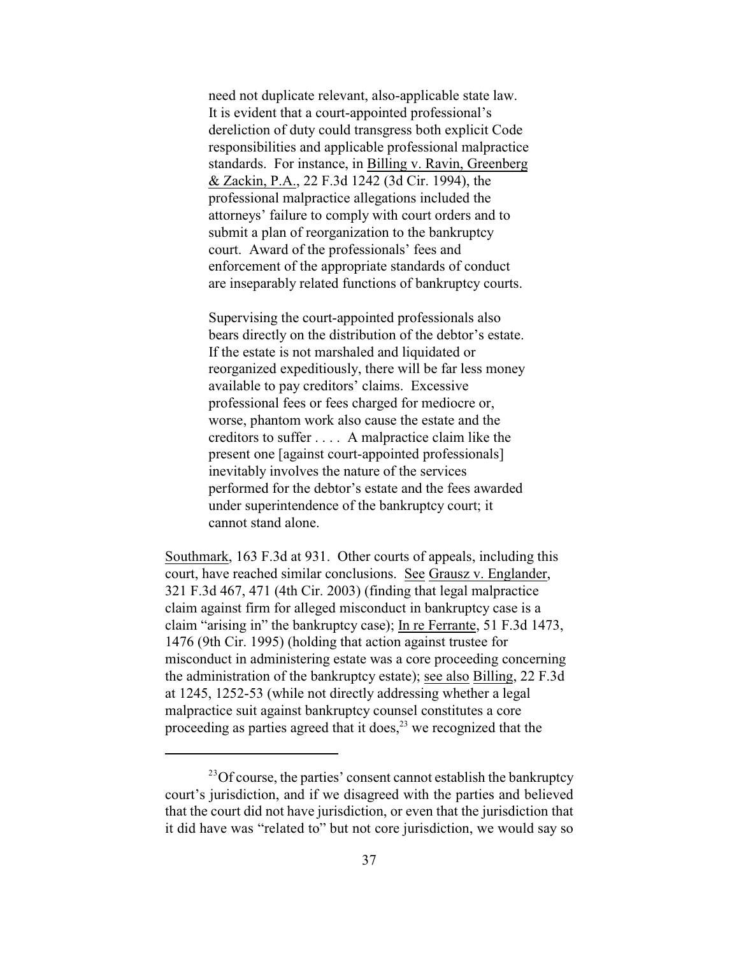need not duplicate relevant, also-applicable state law. It is evident that a court-appointed professional's dereliction of duty could transgress both explicit Code responsibilities and applicable professional malpractice standards. For instance, in Billing v. Ravin, Greenberg & Zackin, P.A., 22 F.3d 1242 (3d Cir. 1994), the professional malpractice allegations included the attorneys' failure to comply with court orders and to submit a plan of reorganization to the bankruptcy court. Award of the professionals' fees and enforcement of the appropriate standards of conduct are inseparably related functions of bankruptcy courts.

Supervising the court-appointed professionals also bears directly on the distribution of the debtor's estate. If the estate is not marshaled and liquidated or reorganized expeditiously, there will be far less money available to pay creditors' claims. Excessive professional fees or fees charged for mediocre or, worse, phantom work also cause the estate and the creditors to suffer . . . . A malpractice claim like the present one [against court-appointed professionals] inevitably involves the nature of the services performed for the debtor's estate and the fees awarded under superintendence of the bankruptcy court; it cannot stand alone.

Southmark, 163 F.3d at 931. Other courts of appeals, including this court, have reached similar conclusions. See Grausz v. Englander, 321 F.3d 467, 471 (4th Cir. 2003) (finding that legal malpractice claim against firm for alleged misconduct in bankruptcy case is a claim "arising in" the bankruptcy case); In re Ferrante, 51 F.3d 1473, 1476 (9th Cir. 1995) (holding that action against trustee for misconduct in administering estate was a core proceeding concerning the administration of the bankruptcy estate); see also Billing, 22 F.3d at 1245, 1252-53 (while not directly addressing whether a legal malpractice suit against bankruptcy counsel constitutes a core proceeding as parties agreed that it does,  $2<sup>3</sup>$  we recognized that the

 $^{23}$ Of course, the parties' consent cannot establish the bankruptcy court's jurisdiction, and if we disagreed with the parties and believed that the court did not have jurisdiction, or even that the jurisdiction that it did have was "related to" but not core jurisdiction, we would say so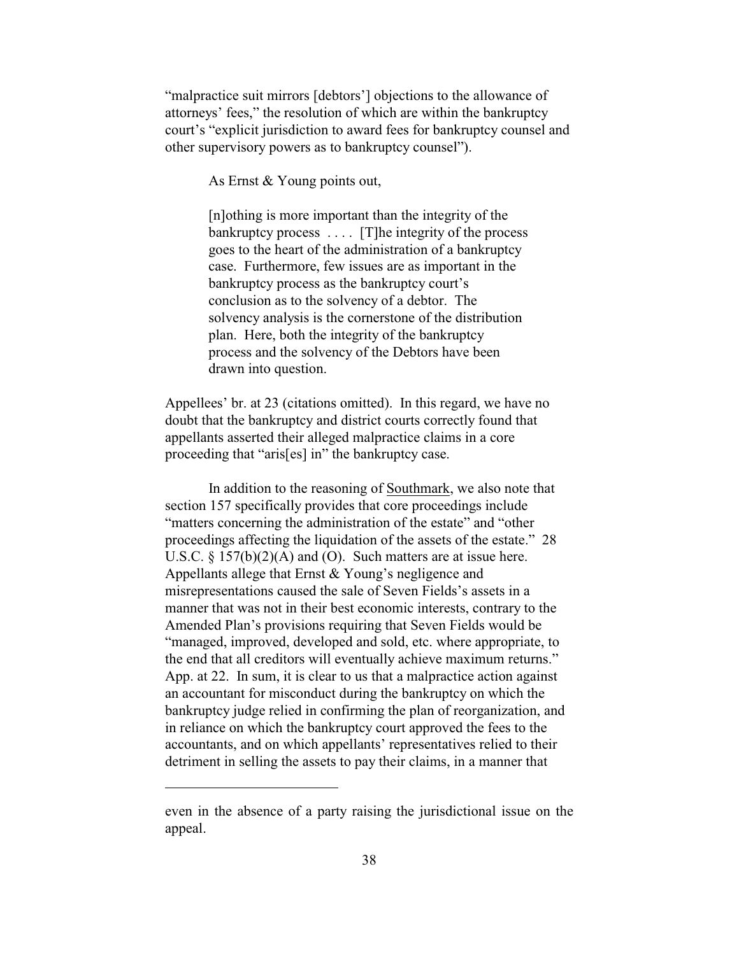"malpractice suit mirrors [debtors'] objections to the allowance of attorneys' fees," the resolution of which are within the bankruptcy court's "explicit jurisdiction to award fees for bankruptcy counsel and other supervisory powers as to bankruptcy counsel").

As Ernst & Young points out,

[n]othing is more important than the integrity of the bankruptcy process . . . . [T]he integrity of the process goes to the heart of the administration of a bankruptcy case. Furthermore, few issues are as important in the bankruptcy process as the bankruptcy court's conclusion as to the solvency of a debtor. The solvency analysis is the cornerstone of the distribution plan. Here, both the integrity of the bankruptcy process and the solvency of the Debtors have been drawn into question.

Appellees' br. at 23 (citations omitted). In this regard, we have no doubt that the bankruptcy and district courts correctly found that appellants asserted their alleged malpractice claims in a core proceeding that "aris[es] in" the bankruptcy case.

In addition to the reasoning of Southmark, we also note that section 157 specifically provides that core proceedings include "matters concerning the administration of the estate" and "other proceedings affecting the liquidation of the assets of the estate." 28 U.S.C. § 157(b)(2)(A) and (O). Such matters are at issue here. Appellants allege that Ernst & Young's negligence and misrepresentations caused the sale of Seven Fields's assets in a manner that was not in their best economic interests, contrary to the Amended Plan's provisions requiring that Seven Fields would be "managed, improved, developed and sold, etc. where appropriate, to the end that all creditors will eventually achieve maximum returns." App. at 22. In sum, it is clear to us that a malpractice action against an accountant for misconduct during the bankruptcy on which the bankruptcy judge relied in confirming the plan of reorganization, and in reliance on which the bankruptcy court approved the fees to the accountants, and on which appellants' representatives relied to their detriment in selling the assets to pay their claims, in a manner that

even in the absence of a party raising the jurisdictional issue on the appeal.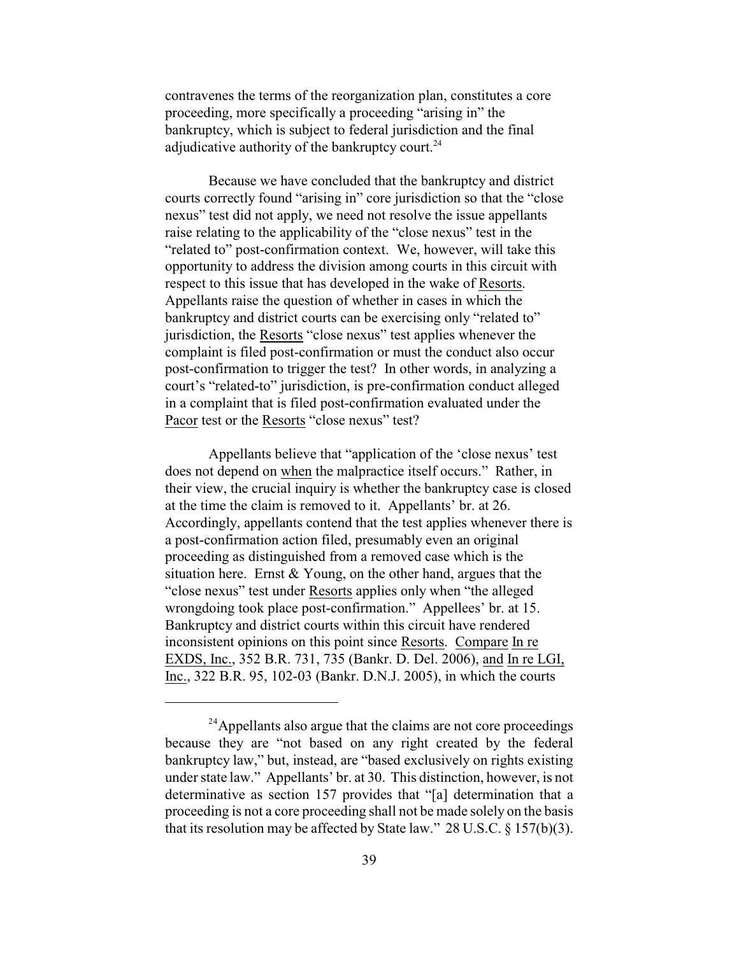contravenes the terms of the reorganization plan, constitutes a core proceeding, more specifically a proceeding "arising in" the bankruptcy, which is subject to federal jurisdiction and the final adjudicative authority of the bankruptcy court.<sup>24</sup>

Because we have concluded that the bankruptcy and district courts correctly found "arising in" core jurisdiction so that the "close nexus" test did not apply, we need not resolve the issue appellants raise relating to the applicability of the "close nexus" test in the "related to" post-confirmation context. We, however, will take this opportunity to address the division among courts in this circuit with respect to this issue that has developed in the wake of Resorts. Appellants raise the question of whether in cases in which the bankruptcy and district courts can be exercising only "related to" jurisdiction, the Resorts "close nexus" test applies whenever the complaint is filed post-confirmation or must the conduct also occur post-confirmation to trigger the test? In other words, in analyzing a court's "related-to" jurisdiction, is pre-confirmation conduct alleged in a complaint that is filed post-confirmation evaluated under the Pacor test or the Resorts "close nexus" test?

Appellants believe that "application of the 'close nexus' test does not depend on when the malpractice itself occurs." Rather, in their view, the crucial inquiry is whether the bankruptcy case is closed at the time the claim is removed to it. Appellants' br. at 26. Accordingly, appellants contend that the test applies whenever there is a post-confirmation action filed, presumably even an original proceeding as distinguished from a removed case which is the situation here. Ernst  $& Young$ , on the other hand, argues that the "close nexus" test under Resorts applies only when "the alleged wrongdoing took place post-confirmation." Appellees' br. at 15. Bankruptcy and district courts within this circuit have rendered inconsistent opinions on this point since Resorts. Compare In re EXDS, Inc., 352 B.R. 731, 735 (Bankr. D. Del. 2006), and In re LGI, Inc., 322 B.R. 95, 102-03 (Bankr. D.N.J. 2005), in which the courts

<sup>&</sup>lt;sup>24</sup> Appellants also argue that the claims are not core proceedings because they are "not based on any right created by the federal bankruptcy law," but, instead, are "based exclusively on rights existing under state law." Appellants' br. at 30. This distinction, however, is not determinative as section 157 provides that "[a] determination that a proceeding is not a core proceeding shall not be made solely on the basis that its resolution may be affected by State law." 28 U.S.C. § 157(b)(3).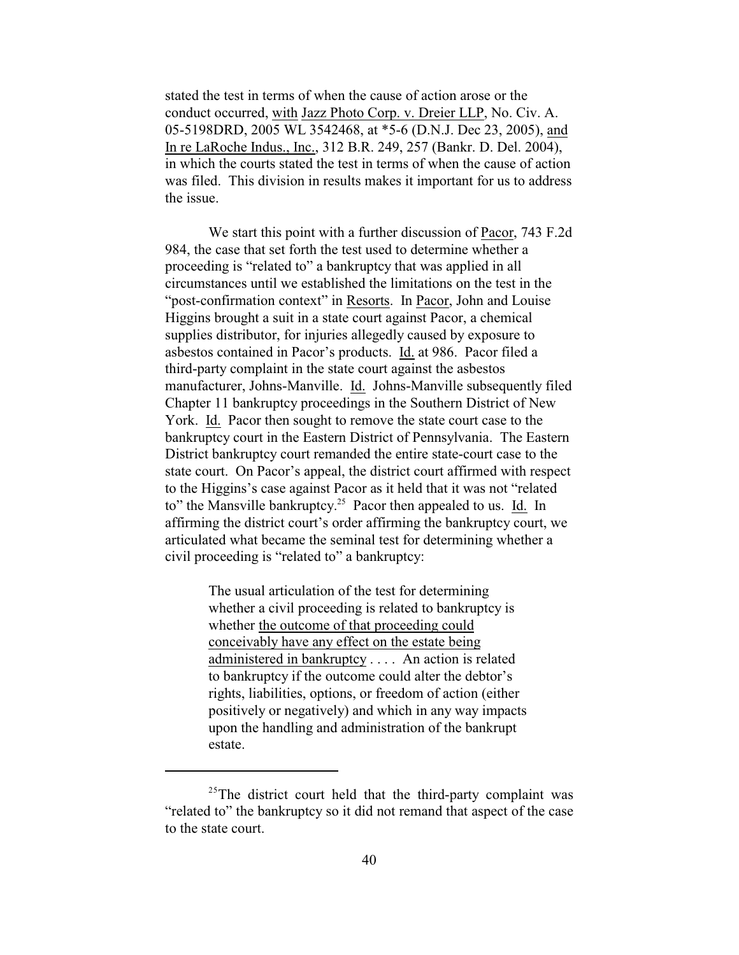stated the test in terms of when the cause of action arose or the conduct occurred, with Jazz Photo Corp. v. Dreier LLP, No. Civ. A. 05-5198DRD, 2005 WL 3542468, at \*5-6 (D.N.J. Dec 23, 2005), and In re LaRoche Indus., Inc., 312 B.R. 249, 257 (Bankr. D. Del. 2004), in which the courts stated the test in terms of when the cause of action was filed. This division in results makes it important for us to address the issue.

We start this point with a further discussion of Pacor, 743 F.2d 984, the case that set forth the test used to determine whether a proceeding is "related to" a bankruptcy that was applied in all circumstances until we established the limitations on the test in the "post-confirmation context" in Resorts. In Pacor, John and Louise Higgins brought a suit in a state court against Pacor, a chemical supplies distributor, for injuries allegedly caused by exposure to asbestos contained in Pacor's products. Id. at 986. Pacor filed a third-party complaint in the state court against the asbestos manufacturer, Johns-Manville. Id. Johns-Manville subsequently filed Chapter 11 bankruptcy proceedings in the Southern District of New York. Id. Pacor then sought to remove the state court case to the bankruptcy court in the Eastern District of Pennsylvania. The Eastern District bankruptcy court remanded the entire state-court case to the state court. On Pacor's appeal, the district court affirmed with respect to the Higgins's case against Pacor as it held that it was not "related to" the Mansville bankruptcy.<sup>25</sup> Pacor then appealed to us. Id. In affirming the district court's order affirming the bankruptcy court, we articulated what became the seminal test for determining whether a civil proceeding is "related to" a bankruptcy:

> The usual articulation of the test for determining whether a civil proceeding is related to bankruptcy is whether the outcome of that proceeding could conceivably have any effect on the estate being administered in bankruptcy . . . . An action is related to bankruptcy if the outcome could alter the debtor's rights, liabilities, options, or freedom of action (either positively or negatively) and which in any way impacts upon the handling and administration of the bankrupt estate.

 $25$ The district court held that the third-party complaint was "related to" the bankruptcy so it did not remand that aspect of the case to the state court.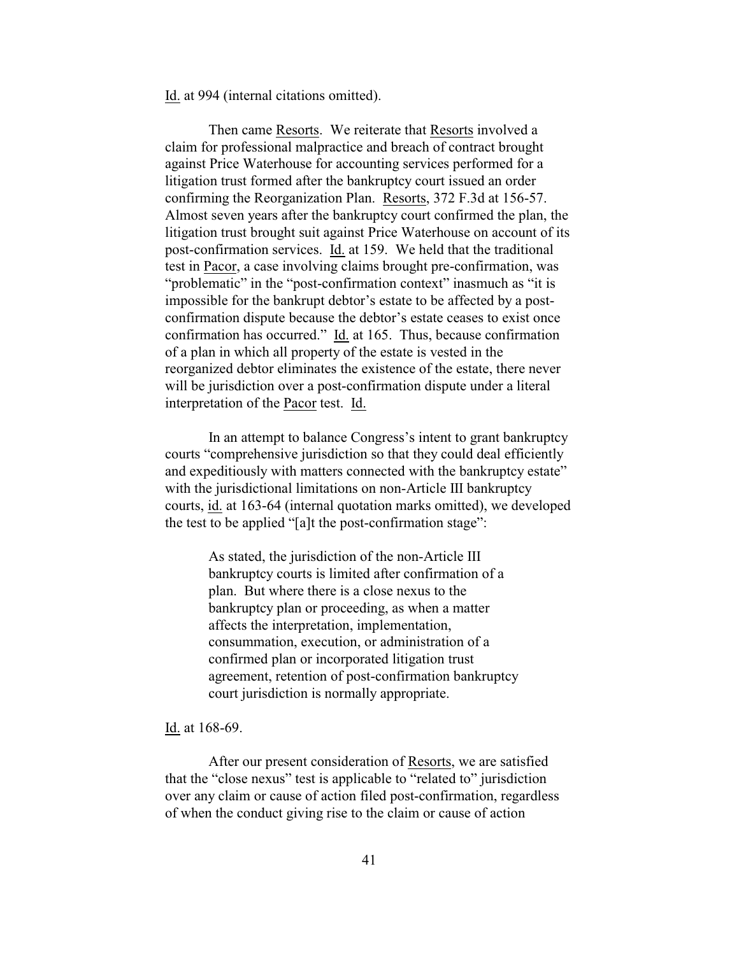Id. at 994 (internal citations omitted).

Then came Resorts. We reiterate that Resorts involved a claim for professional malpractice and breach of contract brought against Price Waterhouse for accounting services performed for a litigation trust formed after the bankruptcy court issued an order confirming the Reorganization Plan. Resorts, 372 F.3d at 156-57. Almost seven years after the bankruptcy court confirmed the plan, the litigation trust brought suit against Price Waterhouse on account of its post-confirmation services. Id. at 159. We held that the traditional test in Pacor, a case involving claims brought pre-confirmation, was "problematic" in the "post-confirmation context" inasmuch as "it is impossible for the bankrupt debtor's estate to be affected by a postconfirmation dispute because the debtor's estate ceases to exist once confirmation has occurred." Id. at 165. Thus, because confirmation of a plan in which all property of the estate is vested in the reorganized debtor eliminates the existence of the estate, there never will be jurisdiction over a post-confirmation dispute under a literal interpretation of the Pacor test. Id.

In an attempt to balance Congress's intent to grant bankruptcy courts "comprehensive jurisdiction so that they could deal efficiently and expeditiously with matters connected with the bankruptcy estate" with the jurisdictional limitations on non-Article III bankruptcy courts, id. at 163-64 (internal quotation marks omitted), we developed the test to be applied "[a]t the post-confirmation stage":

> As stated, the jurisdiction of the non-Article III bankruptcy courts is limited after confirmation of a plan. But where there is a close nexus to the bankruptcy plan or proceeding, as when a matter affects the interpretation, implementation, consummation, execution, or administration of a confirmed plan or incorporated litigation trust agreement, retention of post-confirmation bankruptcy court jurisdiction is normally appropriate.

Id. at 168-69.

After our present consideration of Resorts, we are satisfied that the "close nexus" test is applicable to "related to" jurisdiction over any claim or cause of action filed post-confirmation, regardless of when the conduct giving rise to the claim or cause of action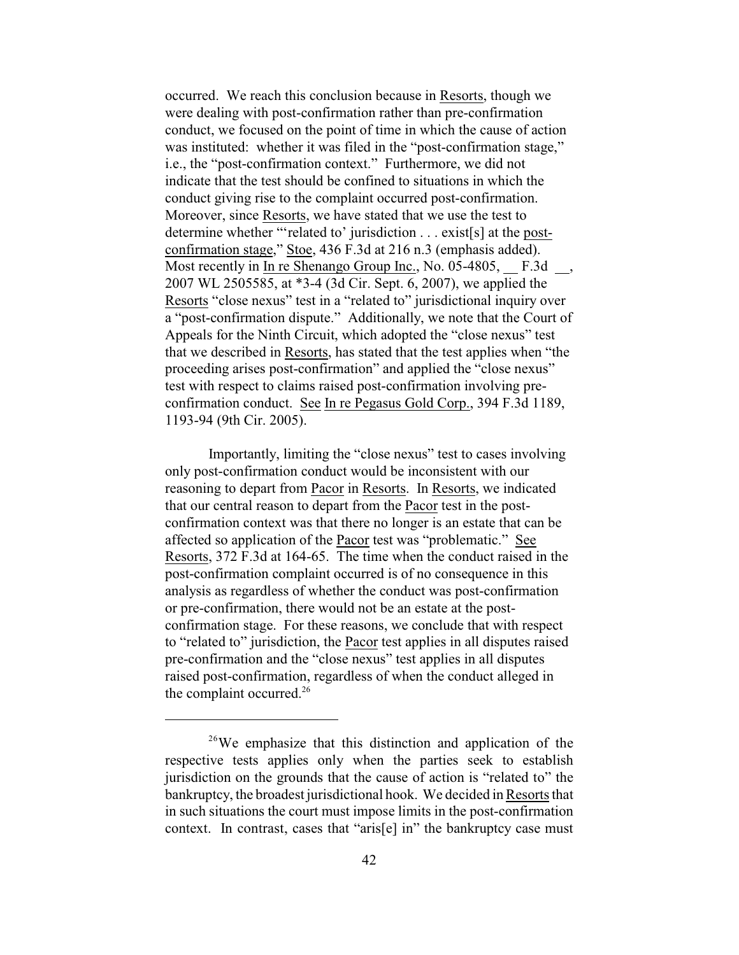occurred. We reach this conclusion because in Resorts, though we were dealing with post-confirmation rather than pre-confirmation conduct, we focused on the point of time in which the cause of action was instituted: whether it was filed in the "post-confirmation stage," i.e., the "post-confirmation context." Furthermore, we did not indicate that the test should be confined to situations in which the conduct giving rise to the complaint occurred post-confirmation. Moreover, since Resorts, we have stated that we use the test to determine whether "'related to' jurisdiction . . . exist[s] at the postconfirmation stage," Stoe, 436 F.3d at 216 n.3 (emphasis added). Most recently in In re Shenango Group Inc., No. 05-4805, F.3d, 2007 WL 2505585, at \*3-4 (3d Cir. Sept. 6, 2007), we applied the Resorts "close nexus" test in a "related to" jurisdictional inquiry over a "post-confirmation dispute." Additionally, we note that the Court of Appeals for the Ninth Circuit, which adopted the "close nexus" test that we described in Resorts, has stated that the test applies when "the proceeding arises post-confirmation" and applied the "close nexus" test with respect to claims raised post-confirmation involving preconfirmation conduct. See In re Pegasus Gold Corp., 394 F.3d 1189, 1193-94 (9th Cir. 2005).

Importantly, limiting the "close nexus" test to cases involving only post-confirmation conduct would be inconsistent with our reasoning to depart from Pacor in Resorts. In Resorts, we indicated that our central reason to depart from the Pacor test in the postconfirmation context was that there no longer is an estate that can be affected so application of the Pacor test was "problematic." See Resorts, 372 F.3d at 164-65. The time when the conduct raised in the post-confirmation complaint occurred is of no consequence in this analysis as regardless of whether the conduct was post-confirmation or pre-confirmation, there would not be an estate at the postconfirmation stage. For these reasons, we conclude that with respect to "related to" jurisdiction, the Pacor test applies in all disputes raised pre-confirmation and the "close nexus" test applies in all disputes raised post-confirmation, regardless of when the conduct alleged in the complaint occurred.<sup>26</sup>

 $26$ We emphasize that this distinction and application of the respective tests applies only when the parties seek to establish jurisdiction on the grounds that the cause of action is "related to" the bankruptcy, the broadest jurisdictional hook. We decided in Resorts that in such situations the court must impose limits in the post-confirmation context. In contrast, cases that "aris[e] in" the bankruptcy case must